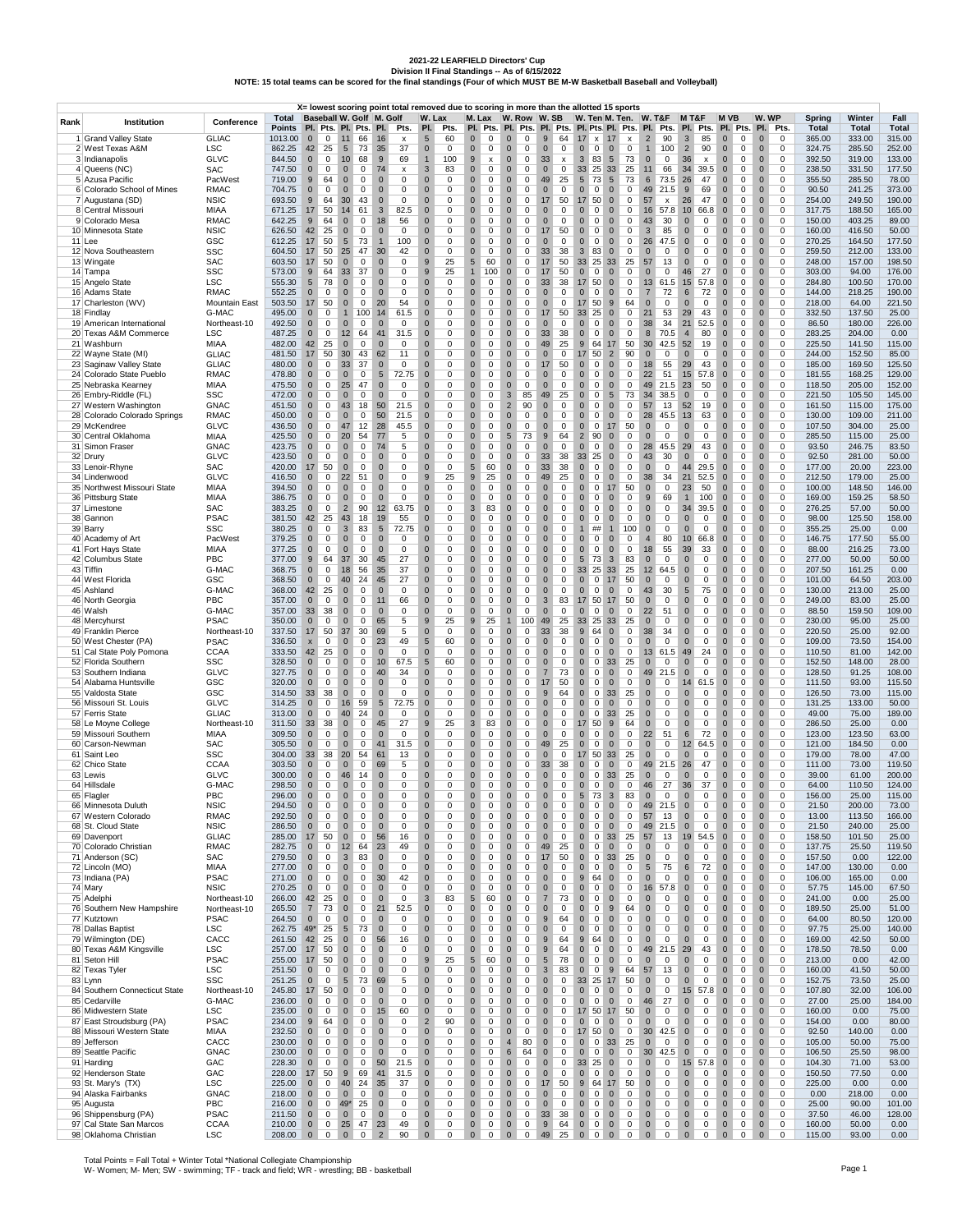2021-22 LEARFIELD Directors' Cup<br>Division II Final Standings -- As of 6/15/2022<br>NOTE: 15 total teams can be scored for the final standings (Four of which MUST BE M-W Basketball Baseball and Volleyball)

|      |                                                       |                            |                                       |                                  |                                  |                                                           |                             | X= lowest scoring point total removed due to scoring in more than the allotted 15 sports |                             |                  |                                                                |                             |                       |                                     |                               |                                                         |                                                                                |                             |                                                   |               |                                                           |                             |        |                        |                        |                      |
|------|-------------------------------------------------------|----------------------------|---------------------------------------|----------------------------------|----------------------------------|-----------------------------------------------------------|-----------------------------|------------------------------------------------------------------------------------------|-----------------------------|------------------|----------------------------------------------------------------|-----------------------------|-----------------------|-------------------------------------|-------------------------------|---------------------------------------------------------|--------------------------------------------------------------------------------|-----------------------------|---------------------------------------------------|---------------|-----------------------------------------------------------|-----------------------------|--------|------------------------|------------------------|----------------------|
| Rank | Institution                                           | Conference                 | Total<br>Points Pl. Pts. Pl. Pts. Pl. |                                  |                                  | Baseball W. Golf M. Golf                                  |                             | Pts.                                                                                     | W. Lax<br>PI.               | Pts.             | M. Lax                                                         |                             |                       | W. Row W. SB                        |                               |                                                         | W. Ten M. Ten. W. T&F<br>PI. Pts. PI. Pts. PI. Pts. PI. Pts. PI. Pts. PI. Pts. |                             | PI.                                               | M T&F<br>Pts. | M VB<br>PI. Pts.                                          | W. WP<br>PI.                | Pts.   | Spring<br><b>Total</b> | Winter<br><b>Total</b> | Fall<br><b>Total</b> |
|      | 1 Grand Valley State                                  | <b>GLIAC</b>               | 1013.00                               | $\overline{0}$                   | $0 \quad 11$                     | 66                                                        | 16                          | $\boldsymbol{\mathsf{x}}$                                                                | 5                           | 60               | $\mathbf{0}$<br>0                                              | $\mathbf{0}$                | $\mathbf 0$           | 9                                   | 64                            | 17<br>$x$ 17                                            | $\pmb{\mathsf{x}}$                                                             | $\overline{2}$              | 90<br>$\mathbf{3}$                                | 85            | $\bf 0$<br>0                                              | $\mathbf{0}$                | 0      | 365.00                 | 333.00                 | 315.00               |
|      | 2 West Texas A&M                                      | <b>LSC</b>                 | 862.25                                | 42                               | 25                               | 5<br>73                                                   | 35                          | 37                                                                                       | $\mathbf 0$                 | 0                | $\mathbf 0$<br>0                                               | $\bf{0}$                    | 0                     | $\mathbf{0}$                        | 0                             | $\pmb{0}$<br>$\mathbf 0$                                | $\mathbf{0}$<br>0                                                              | $\mathbf{1}$                | $\overline{2}$<br>100                             | 90            | $\bf{0}$<br>0                                             | $\bf{0}$                    | 0      | 324.75                 | 285.50                 | 252.00               |
|      | 3 Indianapolis                                        | <b>GLVC</b>                | 844.50                                | $\mathbf 0$                      | $\mathbf 0$                      | 10<br>68                                                  | 9                           | 69                                                                                       | $\mathbf{1}$                | 100              | 9<br>x                                                         | $\mathbf 0$                 | 0                     | 33<br>$\pmb{\mathsf{x}}$            |                               | 3<br>83                                                 | $5\overline{)}$<br>73                                                          | $\mathbf 0$                 | 0<br>36                                           | x             | $\pmb{0}$<br>0                                            | $\mathbf 0$                 | 0      | 392.50                 | 319.00                 | 133.00               |
|      | 4 Queens (NC)<br>5 Azusa Pacific                      | SAC<br>PacWest             | 747.50<br>719.00                      | $\bf{0}$<br>9                    | 0<br>64                          | $\mathbf 0$<br>$\mathbf 0$<br>$\mathbf 0$<br>0            | 74<br>$\mathbf 0$           | х<br>0                                                                                   | $\mathbf{3}$<br>$\mathbf 0$ | 83<br>0          | $\pmb{0}$<br>0<br>$\mathbf 0$<br>0                             | $\bf{0}$<br>$\mathbf 0$     | 0<br>0                | $\mathbf 0$<br>49                   | 0<br>25                       | 33<br>25<br>5<br>73                                     | 33<br>25<br>5 <sup>5</sup><br>73                                               | 11<br>6                     | 66<br>34<br>73.5<br>26                            | 39.5<br>47    | 0<br>$\bf{0}$<br>$\mathbf 0$<br>0                         | $\bf{0}$<br>$\mathbf 0$     | 0<br>0 | 238.50<br>355.50       | 331.50<br>285.50       | 177.50<br>78.00      |
|      | 6 Colorado School of Mines                            | <b>RMAC</b>                | 704.75                                | $\mathbf 0$                      | $\mathsf 0$                      | $\mathbf 0$<br>$\mathsf 0$                                | $\mathbf 0$                 | 0                                                                                        | $\mathbf{0}$                | $\mathsf 0$      | $\mathbf{0}$<br>$\mathbf 0$                                    | $\mathbf 0$                 | 0                     | $\mathbf{0}$                        | 0                             | $\pmb{0}$<br>$\mathbf 0$                                | $\mathbf 0$<br>$\mathbf{0}$                                                    | 49                          | 21.5<br>9                                         | 69            | $\mathbf 0$<br>$\mathsf 0$                                | $\mathbf 0$                 | 0      | 90.50                  | 241.25                 | 373.00               |
|      | 7 Augustana (SD)                                      | <b>NSIC</b>                | 693.50                                | 9                                | 64                               | 30<br>43                                                  | $\mathbf 0$                 | 0                                                                                        | $\mathbf 0$                 | 0                | $\mathbf 0$<br>0                                               | $\mathbf 0$                 | 0                     | 17                                  | 50                            | 17 50                                                   | $\mathbf{0}$<br>0                                                              | 57                          | 26<br>х                                           | 47            | $\mathbf 0$<br>0                                          | $\mathbf{0}$                | 0      | 254.00                 | 249.50                 | 190.00               |
|      | 8 Central Missouri                                    | MIAA                       | 671.25                                | 17                               | 50                               | 14<br>61                                                  | $\mathbf{3}$                | 82.5                                                                                     | $\mathbf 0$                 | 0                | $\mathbf 0$<br>0                                               | $\mathbf 0$                 | 0                     | $\mathbf 0$                         | 0                             | $\mathbf 0$<br>0                                        | $\mathbf 0$<br>0                                                               | 16                          | 57.8<br>10                                        | 66.8          | $\mathbf 0$<br>0                                          | $\bf{0}$                    | 0      | 317.75                 | 188.50                 | 165.00               |
|      | 9 Colorado Mesa                                       | <b>RMAC</b>                | 642.25                                | 9                                | 64                               | $\mathbf 0$<br>$\mathbf 0$                                | 18                          | 56                                                                                       | $\pmb{0}$                   | 0                | $\pmb{0}$<br>0                                                 | $\bf{0}$                    | 0                     | $\mathbf 0$                         | 0                             | $\pmb{0}$<br>$\mathbf{0}$                               | $\bf{0}$<br>0                                                                  | 43                          | 30<br>$\pmb{0}$                                   | 0             | $\pmb{0}$<br>0                                            | $\bf{0}$                    | 0      | 150.00                 | 403.25                 | 89.00                |
|      | 10 Minnesota State<br>$11$ Lee                        | <b>NSIC</b><br>GSC         | 626.50<br>612.25                      | 42<br>17                         | 25<br>50                         | $\mathbf 0$<br>$\mathbf 0$<br>$\sqrt{5}$<br>73            | $\mathbf 0$<br>$\mathbf{1}$ | 0<br>100                                                                                 | $\mathbf 0$<br>$\mathbf{0}$ | 0<br>$\mathsf 0$ | $\mathbf 0$<br>0<br>$\mathbf 0$<br>$\mathbf 0$                 | $\mathbf 0$<br>$\bf 0$      | 0<br>0                | 17<br>50<br>$\mathbf 0$             | 0                             | $\mathbf 0$<br>$\mathbf{0}$<br>$\pmb{0}$<br>$\mathbf 0$ | $\mathbf 0$<br>$\mathbf 0$<br>$\mathbf 0$<br>$\mathbf{0}$                      | 3<br>26                     | 85<br>$\mathbf{0}$<br>$\overline{0}$<br>47.5      | 0<br>0        | $\mathbf 0$<br>0<br>$\mathbf 0$<br>$\mathbf 0$            | $\mathbf 0$<br>$\bf 0$      | 0<br>0 | 160.00<br>270.25       | 416.50<br>164.50       | 50.00<br>177.50      |
|      | 12 Nova Southeastern                                  | <b>SSC</b>                 | 604.50                                | 17                               | 50                               | 25<br>47                                                  | 30                          | 42                                                                                       | $\mathbf 0$                 | 0                | $\mathbf 0$<br>0                                               | $\mathbf 0$                 | 0                     | 33                                  | 38                            | 3<br>83                                                 | $\mathbf 0$<br>0                                                               | $\mathbf 0$                 | 0<br>$\mathbf 0$                                  | 0             | $\mathbf 0$<br>0                                          | $\bf 0$                     | 0      | 259.50                 | 212.00                 | 133.00               |
|      | 13 Wingate                                            | <b>SAC</b>                 | 603.50                                | 17                               | 50                               | $\mathbf 0$<br>0                                          | $\mathbf 0$                 | 0                                                                                        | 9                           | 25               | 5<br>60                                                        | $\mathbf 0$                 | 0                     | 17<br>50                            |                               | 33<br>25                                                | 33<br>25                                                                       | 57                          | 13<br>$\mathbf 0$                                 | 0             | $\bf{0}$<br>0                                             | $\mathbf 0$                 | 0      | 248.00                 | 157.00                 | 198.50               |
|      | 14 Tampa                                              | <b>SSC</b>                 | 573.00                                | 9                                | 64                               | 37<br>33                                                  | $\bf{0}$                    | 0                                                                                        | $9\,$                       | 25               | 100<br>$\mathbf{1}$                                            | $\bf{0}$                    | 0                     | 17                                  | 50                            | $\pmb{0}$<br>0                                          | $\bf{0}$<br>0                                                                  | $\bf{0}$                    | 0<br>46                                           | 27            | $\bf{0}$<br>0                                             | $\bf{0}$                    | 0      | 303.00                 | 94.00                  | 176.00               |
|      | 15 Angelo State<br>16 Adams State                     | <b>LSC</b><br><b>RMAC</b>  | 555.30<br>552.25                      | $5\phantom{.0}$<br>$\mathbf 0$   | 78<br>$\mathsf 0$                | $\mathbf 0$<br>0<br>$\mathbf 0$<br>$\mathbf 0$            | $\mathbf 0$<br>$\mathbf 0$  | 0<br>0                                                                                   | $\mathbf 0$<br>$\mathbf{0}$ | 0<br>$\mathsf 0$ | $\mathbf 0$<br>0<br>$\mathbf{0}$<br>$\mathbf 0$                | $\mathbf 0$<br>$\mathbf 0$  | 0<br>0                | 33<br>$\mathbf{0}$                  | 38<br>0                       | 17<br>50<br>$\pmb{0}$<br>$\mathsf 0$                    | $\mathbf{0}$<br>0<br>$\mathsf 0$<br>$\mathbf{0}$                               | 13<br>$\overline{7}$        | 61.5<br>15<br>$6\phantom{1}$<br>72                | 57.8<br>72    | $\mathbf 0$<br>0<br>$\mathbf 0$<br>$\mathbf 0$            | $\mathbf 0$<br>$\mathbf 0$  | 0<br>0 | 284.80<br>144.00       | 100.50<br>218.25       | 170.00<br>190.00     |
|      | 17 Charleston (WV)                                    | <b>Mountain East</b>       | 503.50                                | 17                               | 50                               | $\mathbf 0$<br>$\mathbf 0$                                | 20                          | 54                                                                                       | $\mathbf 0$                 | 0                | $\mathbf 0$<br>0                                               | $\mathbf 0$                 | 0                     | $\mathbf{0}$                        | 0                             | 17 50                                                   | 9<br>64                                                                        | $\mathbf 0$                 | 0<br>$\mathbf 0$                                  | 0             | $\mathbf 0$<br>0                                          | $\mathbf{0}$                | 0      | 218.00                 | 64.00                  | 221.50               |
|      | 18 Findlay                                            | G-MAC                      | 495.00                                | $\mathbf 0$                      | 0                                | 100<br>$\mathbf{1}$                                       | 14                          | 61.5                                                                                     | $\pmb{0}$                   | 0                | $\mathbf 0$<br>0                                               | $\mathbf 0$                 | 0                     | 17<br>50                            |                               | 33 25                                                   | $\mathbf 0$<br>0                                                               | 21                          | 53<br>29                                          | 43            | $\mathbf 0$<br>0                                          | $\bf{0}$                    | 0      | 332.50                 | 137.50                 | 25.00                |
|      | 19 American International                             | Northeast-10               | 492.50                                | $\bf{0}$                         | 0                                | $\mathbf 0$<br>0                                          | $\bf{0}$                    | 0                                                                                        | $\pmb{0}$                   | 0                | $\pmb{0}$<br>0                                                 | $\bf{0}$                    | 0                     | $\mathbf 0$                         | 0                             | $\pmb{0}$<br>0                                          | $\bf{0}$<br>0                                                                  | 38                          | 34<br>21                                          | 52.5          | $\bf{0}$<br>0                                             | $\bf{0}$                    | 0      | 86.50                  | 180.00                 | 226.00               |
|      | 20 Texas A&M Commerce<br>21 Washburn                  | <b>LSC</b><br>MIAA         | 487.25<br>482.00                      | $\mathbf 0$<br>42                | 0<br>25                          | 12<br>64<br>$\mathbf 0$<br>$\mathbf 0$                    | 41<br>$\mathbf 0$           | 31.5<br>$\pmb{0}$                                                                        | $\mathbf 0$<br>$\mathbf{0}$ | 0<br>$\mathsf 0$ | $\mathbf 0$<br>0<br>$\mathbf{0}$<br>$\mathbf 0$                | $\mathbf 0$<br>$\bf 0$      | 0<br>0                | 33<br>38<br>49                      | 25                            | $\mathbf 0$<br>$\mathbf{0}$<br>$9$<br>64                | $\mathbf{0}$<br>$\mathbf 0$<br>50<br>17                                        | 8<br>30                     | $\overline{4}$<br>70.5<br>52<br>42.5              | 80<br>19      | $\mathbf 0$<br>0<br>$\mathbf 0$<br>$\mathbf 0$            | $\mathbf 0$<br>$\mathbf 0$  | 0<br>0 | 283.25<br>225.50       | 204.00<br>141.50       | 0.00<br>115.00       |
|      | 22 Wayne State (MI)                                   | <b>GLIAC</b>               | 481.50                                | 17                               | 50                               | 30<br>43                                                  | 62                          | 11                                                                                       | $\bf 0$                     | 0                | $\mathbf 0$<br>0                                               | $\mathbf 0$                 | 0                     | $\mathbf 0$                         | 0                             | 17<br>50                                                | $\overline{2}$<br>90                                                           | $\mathbf 0$                 | $\mathbf{0}$<br>0                                 | 0             | $\mathbf 0$<br>0                                          | $\mathbf 0$                 | 0      | 244.00                 | 152.50                 | 85.00                |
|      | 23 Saginaw Valley State                               | <b>GLIAC</b>               | 480.00                                | $\mathbf 0$                      | $\mathbf 0$                      | 33<br>37                                                  | $\bf{0}$                    | 0                                                                                        | $\mathbf 0$                 | 0                | $\mathbf 0$<br>0                                               | $\mathbf 0$                 | 0                     | 17<br>50                            |                               | $\pmb{0}$<br>0                                          | $\mathbf 0$<br>0                                                               | 18                          | 55<br>29                                          | 43            | $\bf{0}$<br>0                                             | $\mathbf 0$                 | 0      | 185.00                 | 169.50                 | 125.50               |
|      | 24 Colorado State Pueblo                              | <b>RMAC</b>                | 478.80                                | $\bf{0}$                         | 0                                | $\mathbf 0$<br>$\mathbf 0$                                | $\sqrt{5}$                  | 72.75                                                                                    | $\pmb{0}$                   | 0                | $\pmb{0}$<br>0                                                 | $\bf{0}$                    | $\overline{\text{o}}$ | $\mathbf 0$                         | 0                             | $\pmb{0}$<br>0                                          | $\bf{0}$<br>0                                                                  | 22                          | 51<br>15                                          | 57.8          | $\bf{0}$<br>0                                             | $\bf{0}$                    | 0      | 181.55                 | 168.25                 | 129.00               |
|      | 25 Nebraska Kearney                                   | MIAA<br>SSC                | 475.50<br>472.00                      | $\mathbf{0}$<br>$\mathbf 0$      | 0<br>$\mathsf 0$                 | 25<br>47<br>$\mathbf 0$<br>$\mathsf 0$                    | $\mathbf 0$<br>$\mathbf 0$  | 0                                                                                        | $\mathbf 0$<br>$\mathbf{0}$ | 0<br>$\mathsf 0$ | $\mathbf 0$<br>0<br>$\mathbf{0}$<br>$\mathbf 0$                | $\mathbf 0$<br>$\mathbf{3}$ | 0<br>85               | $\mathbf 0$                         | 0                             | $\mathbf 0$<br>0<br>$\pmb{0}$<br>$\mathsf 0$            | $\mathbf 0$<br>0                                                               | 49                          | 21.5<br>23<br>$\mathbf 0$                         | 50            | $\mathbf 0$<br>0<br>$\mathbf 0$<br>$\mathsf 0$            | $\mathbf 0$<br>$\mathbf 0$  | 0<br>0 | 118.50                 | 205.00<br>105.50       | 152.00               |
|      | 26 Embry-Riddle (FL)<br>27 Western Washington         | <b>GNAC</b>                | 451.50                                | $\mathbf{0}$                     | 0                                | 43<br>18                                                  | 50                          | 0<br>21.5                                                                                | $\mathbf 0$                 | 0                | $\mathbf 0$<br>$\mathbf 0$                                     | $\overline{2}$              | 90                    | 49<br>$\mathbf{0}$                  | 25<br>0                       | $\pmb{0}$<br>0                                          | 73<br>$5\phantom{.0}$<br>$\bf{0}$<br>0                                         | 34<br>57                    | 38.5<br>52<br>13                                  | 0<br>19       | $\mathbf 0$<br>0                                          | $\mathbf{0}$                | 0      | 221.50<br>161.50       | 115.00                 | 145.00<br>175.00     |
|      | 28 Colorado Colorado Springs                          | <b>RMAC</b>                | 450.00                                | $\mathbf 0$                      | 0                                | $\mathbf 0$<br>0                                          | 50                          | 21.5                                                                                     | $\pmb{0}$                   | 0                | $\mathbf 0$<br>0                                               | $\bf{0}$                    | 0                     | $\mathbf 0$                         | 0                             | $\mathbf 0$<br>0                                        | $\mathbf 0$<br>0                                                               | 28                          | 45.5<br>13                                        | 63            | $\mathbf 0$<br>0                                          | $\bf{0}$                    | 0      | 130.00                 | 109.00                 | 211.00               |
|      | 29 McKendree                                          | <b>GLVC</b>                | 436.50                                | $\bf{0}$                         | 0                                | 47<br>12                                                  | 28                          | 45.5                                                                                     | $\pmb{0}$                   | 0                | $\pmb{0}$<br>0                                                 | $\bf{0}$                    | 0                     | $\mathbf 0$                         | 0                             | $\pmb{0}$<br>0                                          | 50<br>17                                                                       | $\bf{0}$                    | 0<br>$\pmb{0}$                                    | 0             | $\pmb{0}$<br>0                                            | $\bf{0}$                    | 0      | 107.50                 | 304.00                 | 25.00                |
|      | 30 Central Oklahoma                                   | MIAA                       | 425.50                                | $\mathbf{0}$                     | 0                                | 20<br>54                                                  | 77                          | 5                                                                                        | $\mathbf 0$                 | 0                | $\mathbf 0$<br>0                                               | $5\phantom{.0}$             | 73                    | 9<br>64                             |                               | $\overline{2}$<br>90                                    | $\mathbf 0$<br>0                                                               | $\mathbf 0$                 | 0<br>$\mathbf{0}$                                 | 0             | $\mathbf 0$<br>0                                          | $\mathbf 0$                 | 0      | 285.50                 | 115.00                 | 25.00                |
|      | 31 Simon Fraser<br>32 Drury                           | GNAC<br><b>GLVC</b>        | 423.75<br>423.50                      | $\mathbf 0$<br>$\mathbf 0$       | $\mathsf 0$<br>0                 | $\mathbf 0$<br>$\mathbf 0$<br>$\mathbf 0$<br>$\mathbf 0$  | 74<br>$\mathbf 0$           | 5<br>0                                                                                   | $\bf 0$<br>$\bf 0$          | $\mathbf 0$<br>0 | $\mathbf 0$<br>$\mathbf 0$<br>$\mathbf 0$<br>0                 | $\mathbf 0$<br>$\mathbf 0$  | 0<br>0                | $\mathbf 0$<br>33                   | $\mathbf 0$<br>38             | $\mathbf 0$<br>$\mathbf 0$<br>33 25                     | 0<br>$\mathbf 0$<br>$\bf{0}$<br>0                                              | 28<br>43                    | 29<br>45.5<br>30<br>$\mathbf{0}$                  | 43<br>0       | $\mathbf 0$<br>$\mathbf 0$<br>$\mathbf 0$<br>0            | $\bf 0$<br>$\bf 0$          | 0<br>0 | 93.50<br>92.50         | 246.75<br>281.00       | 83.50<br>50.00       |
|      | 33 Lenoir-Rhyne                                       | SAC                        | 420.00                                | 17                               | 50                               | $\mathbf 0$<br>0                                          | $\bf{0}$                    | 0                                                                                        | $\mathbf 0$                 | 0                | $\sqrt{5}$<br>60                                               | $\mathbf 0$                 | 0                     | 33<br>38                            |                               | $\pmb{0}$<br>0                                          | $\mathbf 0$<br>0                                                               | $\mathbf 0$                 | 0<br>44                                           | 29.5          | $\mathbf 0$<br>0                                          | $\overline{0}$              | 0      | 177.00                 | 20.00                  | 223.00               |
|      | 34 Lindenwood                                         | <b>GLVC</b>                | 416.50                                | $\bf{0}$                         | 0                                | 22<br>51                                                  | $\mathbf 0$                 | 0                                                                                        | $9\,$                       | 25               | 9<br>25                                                        | $\bf{0}$                    | $\overline{0}$        | 49<br>25                            |                               | $\pmb{0}$<br>0                                          | 0<br>$\bf{0}$                                                                  | 38                          | 21<br>34                                          | 52.5          | $\bf{0}$<br>0                                             | $\mathbf 0$                 | 0      | 212.50                 | 179.00                 | 25.00                |
|      | 35 Northwest Missouri State                           | <b>MIAA</b>                | 394.50                                | $\mathbf{0}$                     | 0                                | $\mathbf 0$<br>0                                          | $\mathbf 0$                 | 0                                                                                        | $\mathbf 0$                 | 0                | $\mathbf 0$<br>0                                               | $\mathbf 0$                 | 0                     | $\mathbf 0$                         | 0                             | $\mathbf 0$<br>$\mathbf 0$                              | 17<br>50                                                                       | $\mathbf 0$                 | 0<br>23                                           | 50            | $\mathbf 0$<br>0                                          | $\mathbf 0$                 | 0      | 100.00                 | 148.50                 | 146.00               |
|      | 36 Pittsburg State<br>37 Limestone                    | MIAA<br>SAC                | 386.75<br>383.25                      | $\mathbf 0$<br>$\mathbf{0}$      | $\mathsf 0$<br>0                 | $\mathbf 0$<br>$\mathbf 0$<br>$\overline{c}$<br>90        | $\mathbf 0$<br>12           | $\mathbf 0$<br>63.75                                                                     | $\mathbf{0}$<br>$\bf 0$     | $\mathbf 0$<br>0 | $\mathbf 0$<br>$\mathbf 0$<br>3<br>83                          | $\mathbf 0$<br>$\mathbf 0$  | $\mathsf 0$<br>0      | $\mathbf 0$<br>$\mathbf{0}$         | 0<br>0                        | $\pmb{0}$<br>$\mathbf 0$<br>$\mathbf 0$<br>0            | $\mathbf 0$<br>$\mathbf 0$<br>$\mathbf 0$<br>0                                 | 9<br>$\mathbf 0$            | 69<br>$\overline{1}$<br>34<br>0                   | 100<br>39.5   | $\mathbf 0$<br>$\mathsf 0$<br>$\bf{0}$<br>0               | $\mathbf 0$<br>$\mathbf{0}$ | 0<br>0 | 169.00<br>276.25       | 159.25<br>57.00        | 58.50<br>50.00       |
|      | 38 Gannon                                             | <b>PSAC</b>                | 381.50                                | 42                               | 25                               | 43<br>18                                                  | 19                          | 55                                                                                       | $\mathbf 0$                 | 0                | $\mathbf 0$<br>0                                               | $\mathbf 0$                 | 0                     | $\mathbf 0$                         | 0                             | $\mathbf 0$<br>0                                        | $\mathbf 0$<br>0                                                               | $\mathbf 0$                 | 0<br>$\mathbf 0$                                  | 0             | $\mathbf 0$<br>0                                          | $\bf{0}$                    | 0      | 98.00                  | 125.50                 | 158.00               |
|      | 39 Barry                                              | SSC                        | 380.25                                | $\bf{0}$                         | 0                                | 3<br>83                                                   | $\sqrt{5}$                  | 72.75                                                                                    | $\pmb{0}$                   | 0                | $\pmb{0}$<br>0                                                 | $\bf{0}$                    | 0                     | $\mathbf 0$                         | 0                             | ##<br>1                                                 | 100<br>$\mathbf{1}$                                                            | $\mathbf 0$                 | 0<br>$\mathbf 0$                                  | 0             | $\pmb{0}$<br>0                                            | $\bf{0}$                    | 0      | 355.25                 | 25.00                  | 0.00                 |
|      | 40 Academy of Art                                     | PacWest                    | 379.25                                | $\mathbf{0}$                     | 0                                | $\mathbf 0$<br>$\mathbf 0$                                | $\mathbf 0$                 | 0                                                                                        | $\mathbf 0$                 | 0                | $\mathbf 0$<br>0                                               | $\mathbf 0$                 | 0                     | $\mathbf 0$                         | 0                             | $\mathbf 0$<br>0                                        | $\mathbf 0$<br>$\mathbf 0$                                                     | $\overline{4}$              | 80<br>10                                          | 66.8          | $\mathbf 0$<br>0                                          | $\mathbf 0$                 | 0      | 146.75                 | 177.50                 | 55.00                |
|      | 41 Fort Hays State<br>42 Columbus State               | <b>MIAA</b><br>PBC         | 377.25<br>377.00                      | $\mathbf 0$<br>9                 | $\mathsf 0$<br>64                | $\mathbf 0$<br>$\mathbf 0$<br>37<br>30                    | $\bf 0$<br>45               | $\pmb{0}$<br>27                                                                          | $\mathbf{0}$<br>$\bf 0$     | $\mathbf 0$<br>0 | $\mathbf 0$<br>$\mathbf 0$<br>$\mathbf 0$<br>0                 | $\bf 0$<br>$\mathbf 0$      | 0<br>0                | $\mathbf 0$<br>$\mathbf 0$          | 0<br>0                        | $\mathbf 0$<br>$\mathbf 0$<br>5<br>73                   | $\mathbf 0$<br>$\mathbf 0$<br>3<br>83                                          | 18<br>$\mathbf 0$           | 55<br>39<br>$\mathbf 0$<br>0                      | 33<br>0       | $\mathbf 0$<br>$\mathbf 0$<br>$\bf{0}$<br>0               | $\bf 0$<br>$\bf 0$          | 0<br>0 | 88.00<br>277.00        | 216.25<br>50.00        | 73.00<br>50.00       |
|      | 43 Tiffin                                             | G-MAC                      | 368.75                                | $\mathbf 0$                      | 0                                | 18<br>56                                                  | 35                          | 37                                                                                       | $\mathbf 0$                 | 0                | $\mathbf 0$<br>0                                               | $\mathbf 0$                 | 0                     | $\mathbf 0$                         | 0                             | 33<br>25                                                | 33<br>25                                                                       | 12                          | 64.5<br>$\mathbf 0$                               | 0             | $\bf{0}$<br>0                                             | $\mathbf 0$                 | 0      | 207.50                 | 161.25                 | 0.00                 |
|      | 44 West Florida                                       | GSC                        | 368.50                                | $\bf{0}$                         | 0                                | 24<br>40                                                  | 45                          | 27                                                                                       | $\pmb{0}$                   | 0                | $\pmb{0}$<br>0                                                 | $\bf{0}$                    | $\overline{0}$        | $\mathbf 0$                         | 0                             | $\pmb{0}$<br>0                                          | 17<br>50                                                                       | $\mathbf 0$                 | 0<br>$\pmb{0}$                                    | 0             | $\bf{0}$<br>0                                             | $\bf{0}$                    | 0      | 101.00                 | 64.50                  | 203.00               |
|      | 45 Ashland                                            | G-MAC                      | 368.00                                | 42                               | 25                               | $\mathbf 0$<br>0                                          | $\mathbf 0$                 | 0                                                                                        | $\mathbf 0$                 | 0                | $\mathbf 0$<br>0                                               | $\mathbf 0$                 | 0                     | $\mathbf 0$                         | 0                             | $\mathbf 0$<br>$\mathbf{0}$                             | $\mathbf{0}$<br>$\mathbf 0$                                                    | 43                          | 30<br>$5\phantom{.0}$                             | 75            | $\mathbf 0$<br>0                                          | $\mathbf 0$                 | 0      | 130.00                 | 213.00                 | 25.00                |
|      | 46 North Georgia<br>46 Walsh                          | PBC<br>G-MAC               | 357.00<br>357.00                      | $\mathbf 0$<br>33                | 0<br>38                          | $\mathbf 0$<br>$\mathbf 0$<br>$\mathbf 0$<br>$\mathbf 0$  | 11<br>$\mathbf 0$           | 66<br>0                                                                                  | $\mathbf{0}$<br>$\mathbf 0$ | $\mathbf 0$<br>0 | $\mathbf{0}$<br>$\mathsf 0$<br>$\mathbf 0$<br>0                | $\mathbf 0$<br>$\mathbf 0$  | 0<br>0                | $\mathbf{3}$<br>$\mathbf{0}$        | 83<br>0                       | 17<br>50<br>$\mathbf 0$<br>0                            | 50<br>17<br>$\mathbf{0}$<br>0                                                  | $\mathbf{0}$<br>22          | 0<br>$\mathbf{0}$<br>51<br>$\bf{0}$               | 0<br>0        | $\mathbf 0$<br>$\mathsf 0$<br>$\mathbf 0$<br>0            | $\mathbf 0$<br>$\mathbf{0}$ | 0<br>0 | 249.00<br>88.50        | 83.00<br>159.50        | 25.00<br>109.00      |
|      | 48 Mercyhurst                                         | <b>PSAC</b>                | 350.00                                | $\mathbf 0$                      | 0                                | $\mathbf 0$<br>0                                          | 65                          | 5                                                                                        | 9                           | 25               | $9\,$<br>25                                                    | $\mathbf{1}$                | 100                   | 49<br>25                            |                               | 33 25                                                   | 33<br>25                                                                       | $\mathbf 0$                 | 0<br>$\mathbf{0}$                                 | 0             | $\mathbf 0$<br>0                                          | $\bf{0}$                    | 0      | 230.00                 | 95.00                  | 25.00                |
|      | 49 Franklin Pierce                                    | Northeast-10               | 337.50                                | 17                               | 50                               | 37<br>30                                                  | 69                          | 5                                                                                        | $\pmb{0}$                   | $\overline{0}$   | $\pmb{0}$<br>0                                                 | $\bf{0}$                    | 0                     | 33<br>38                            |                               | $\boldsymbol{9}$<br>64                                  | $\bf{0}$<br>0                                                                  | 38                          | 34<br>$\mathbf 0$                                 | 0             | $\pmb{0}$<br>0                                            | $\bf{0}$                    | 0      | 220.50                 | 25.00                  | 92.00                |
|      | 50 West Chester (PA)                                  | <b>PSAC</b>                | 336.50                                | $\pmb{\mathsf{x}}$               | 0                                | $\mathbf 0$<br>0                                          | 23                          | 49                                                                                       | 5                           | 60               | $\mathbf 0$<br>0                                               | $\mathbf 0$                 | 0                     | $\mathbf 0$                         | 0                             | $\mathbf 0$<br>$\mathbf 0$                              | $\mathbf 0$<br>$\mathbf 0$                                                     | $\mathbf 0$                 | 0<br>$\mathbf{0}$                                 | 0             | $\mathbf 0$<br>0                                          | $\mathbf 0$                 | 0      | 109.00                 | 73.50                  | 154.00               |
|      | 51 Cal State Poly Pomona                              | CCAA                       | 333.50                                | 42                               | 25                               | $\mathbf 0$<br>$\mathbf 0$                                | $\bf 0$                     | $\pmb{0}$                                                                                | $\mathbf{0}$<br>5           | $\mathbf 0$      | $\mathbf 0$<br>$\mathbf 0$                                     | $\bf 0$                     | 0                     | $\mathbf 0$                         | 0                             | $\mathbf 0$<br>$\mathbf 0$                              | $\mathbf 0$<br>$\mathbf 0$                                                     | 13 61.5                     | 49                                                | 24            | $\mathbf 0$<br>$\mathbf 0$                                | $\mathbf 0$<br>$\mathbf 0$  | 0      | 110.50                 | 81.00                  | 142.00               |
|      | 52 Florida Southern<br>53 Southern Indiana            | SSC<br><b>GLVC</b>         | 328.50<br>327.75                      | $\mathbf{0}$<br>$\mathbf 0$      | 0<br>0                           | $\mathbf 0$<br>$\mathbf 0$<br>$\pmb{0}$<br>0              | 10<br>40                    | 67.5<br>34                                                                               | $\mathbf 0$                 | 60<br>0          | $\mathbf 0$<br>0<br>$\mathbf 0$<br>0                           | $\mathbf 0$<br>$\bf{0}$     | 0<br>0                | $\mathbf 0$<br>$\overline{7}$<br>73 | 0                             | $\mathbf 0$<br>$\mathbf{0}$<br>$\pmb{0}$<br>0           | 33<br>25<br>$\mathbf 0$<br>0                                                   | $\mathbf 0$<br>49           | $\mathbf 0$<br>0<br>21.5<br>$\mathbf 0$           | 0<br>0        | $\bf{0}$<br>0<br>$\bf{0}$<br>0                            | $\bf{0}$                    | 0<br>0 | 152.50<br>128.50       | 148.00<br>91.25        | 28.00<br>108.00      |
|      | 54 Alabama Huntsville                                 | GSC                        | 320.00                                | $\mathbf 0$                      | 0                                | $\mathbf 0$<br>0                                          | $\mathbf 0$                 | 0                                                                                        | $\mathbf 0$                 | 0                | $\mathbf 0$<br>0                                               | $\mathbf 0$                 | 0                     | 17<br>50                            |                               | $\mathbf{0}$<br>0                                       | 0<br>$\mathbf 0$                                                               | $\mathbf 0$                 | 0<br>14                                           | 61.5          | $\mathbf 0$<br>0                                          | $\mathbf 0$                 | 0      | 111.50                 | 93.00                  | 115.50               |
|      | 55 Valdosta State                                     | GSC                        | 314.50                                | 33                               | 38                               | $\mathbf 0$<br>0                                          | $\mathbf 0$                 | 0                                                                                        | $\mathbf 0$                 | 0                | $\mathbf 0$<br>0                                               | $\mathbf 0$                 | 0                     | 9<br>64                             |                               | $\mathbf 0$<br>0                                        | 33<br>25                                                                       | $\mathbf 0$                 | 0<br>$\mathbf{0}$                                 | 0             | $\mathbf 0$<br>0                                          | $\mathbf 0$                 | 0      | 126.50                 | 73.00                  | 115.00               |
|      | 56 Missouri St. Louis                                 | <b>GLVC</b>                | 314.25                                | $\mathbf 0$                      | $\mathsf 0$                      | 16<br>59                                                  | $\sqrt{5}$                  | 72.75                                                                                    | $\mathbf{0}$                | $\mathbf 0$      | $\mathbf{0}$<br>$\mathsf 0$<br>$\mathbf 0$                     | $\mathbf{0}$                | 0                     | $\mathbf 0$                         | 0                             | $\pmb{0}$<br>0                                          | $\mathbf 0$<br>0                                                               | $\mathbf{0}$                | $\mathbf 0$<br>0                                  | 0             | $\mathbf 0$<br>$\mathsf 0$                                | $\mathbf 0$                 | 0      | 131.25                 | 133.00                 | 50.00                |
|      | 57 Ferris State<br>58 Le Moyne College                | GLIAC<br>Northeast-10      | 313.00<br>311.50                      | $\mathbf 0$<br>33                | 0<br>38                          | 40<br>24<br>$\mathbf 0$<br>$\mathbf 0$                    | $\mathbf 0$<br>45           | 0<br>27                                                                                  | $\mathbf 0$<br>$9\,$        | 0<br>25          | 0<br>$\mathbf{3}$<br>83                                        | $\mathbf{0}$<br>$\bf{0}$    | 0<br>0                | $\mathbf 0$<br>$\mathbf 0$          | 0<br>0                        | $\mathbf 0$<br>$\mathbf 0$<br>17 50                     | 33<br>25<br>9<br>64                                                            | $\mathbf 0$<br>$\mathbf{0}$ | $\mathbf 0$<br>0<br>0<br>$\mathbf 0$              | 0<br>0        | $\pmb{0}$<br>0<br>$\pmb{0}$<br>0                          | $\mathbf{0}$<br>$\bf{0}$    | 0<br>0 | 49.00<br>286.50        | 75.00<br>25.00         | 189.00<br>0.00       |
|      | 59 Missouri Southern                                  | MIAA                       | 309.50                                | $\mathbf 0$                      | 0                                | $\mathbf 0$<br>0                                          | $\mathbf 0$                 | 0                                                                                        | $\bf 0$                     | 0                | $\mathbf 0$<br>0                                               | $\mathbf{0}$                | 0                     | $\mathbf 0$                         | 0                             | $\mathbf 0$<br>0                                        | $\mathbf 0$<br>$\mathbf 0$                                                     | 22                          | 51<br>6                                           | 72            | $\mathbf 0$<br>0                                          | $\bf{0}$                    | 0      | 123.00                 | 123.50                 | 63.00                |
|      | 60 Carson-Newman                                      | <b>SAC</b>                 | 305.50                                | $\mathbf{0}$                     | 0                                | $\mathbf 0$<br>$\mathbf 0$                                | 41                          | 31.5                                                                                     | $\mathbf 0$                 | 0                | $\mathbf 0$<br>0                                               | $\mathbf{0}$                | 0                     | 49<br>25                            |                               | $\mathbf 0$<br>$\mathbf{0}$                             | $\mathbf 0$<br>$\mathbf{0}$                                                    | $\mathbf 0$                 | 0<br>12                                           | 64.5          | $\mathbf 0$<br>0                                          | $\mathbf 0$                 | 0      | 121.00                 | 184.50                 | 0.00                 |
|      | 61 Saint Leo                                          | <b>SSC</b>                 | 304.00                                | 33                               | 38                               | 20<br>54                                                  | 61                          | 13                                                                                       | $\mathbf{0}$                | $\mathbf 0$      | $\mathbf 0$<br>$\mathbf 0$                                     | $\mathbf{0}$                | 0                     | $\mathbf 0$                         | $\mathbf 0$                   | 17 50                                                   | 33<br>25                                                                       | $\mathbf 0$                 | 0<br>$\mathbf{0}$                                 | 0             | $\mathsf 0$<br>$\mathbf 0$                                | $\bf 0$                     | 0      | 179.00                 | 78.00                  | 47.00                |
|      | 62 Chico State<br>63 Lewis                            | <b>CCAA</b><br><b>GLVC</b> | 303.50<br>300.00                      | $\mathbf{0}$<br>$\mathbf 0$      | 0<br>0                           | $\mathbf 0$<br>0<br>46<br>14                              | 69<br>$\bf{0}$              | 5<br>0                                                                                   | $\mathbf 0$<br>$\mathbf 0$  | 0<br>0           | $\mathbf 0$<br>0<br>$\mathbf 0$<br>0                           | $\mathbf 0$<br>$\bf{0}$     | 0<br>0                | 33<br>$\mathbf 0$                   | 38<br>0                       | $\pmb{0}$<br>0<br>$\pmb{0}$<br>0                        | $\mathbf 0$<br>0<br>33<br>25                                                   | 49<br>$\mathbf{0}$          | 26<br>21.5<br>0<br>$\mathbf 0$                    | 47<br>0       | $\bf{0}$<br>0<br>$\bf{0}$<br>0                            | $\mathbf 0$<br>$\pmb{0}$    | 0<br>0 | 111.00<br>39.00        | 73.00<br>61.00         | 119.50<br>200.00     |
|      | 64 Hillsdale                                          | G-MAC                      | 298.50                                | $\mathbf{0}$                     | 0                                | $\mathbf 0$<br>$\mathbf 0$                                | $\mathbf 0$                 | 0                                                                                        | $\mathbf 0$                 | 0                | $\mathbf 0$<br>0                                               | $\mathbf 0$                 | $\mathbf 0$           | $\mathbf{0}$                        | $\mathbf{0}$                  | $\bf{0}$<br>$\overline{0}$                              | $\overline{0}$<br>$\mathbf{0}$                                                 | 46                          | 27<br>36                                          | 37            | $\mathbf{0}$<br>0                                         | $\mathbf 0$                 | 0      | 64.00                  | 110.50                 | 124.00               |
|      | 65 Flagler                                            | PBC                        | 296.00                                | $\mathbf{0}$                     | 0                                | $\mathbf 0$<br>0                                          | $\mathbf{0}$                | $\Omega$                                                                                 | $\mathbf{0}$                | $\mathbf 0$      | $\mathbf 0$<br>$\mathbf 0$                                     | $\mathbf{0}$                | $\mathbf 0$           | $\overline{0}$                      | 0                             | 5 73                                                    | 3 <sup>1</sup><br>83                                                           | $\overline{0}$              | $\mathbf{0}$<br>$\overline{0}$                    | 0             | $\mathbf{0}$<br>0                                         | $\mathbf{0}$                | 0      | 156.00                 | 25.00                  | 115.00               |
|      | 66 Minnesota Duluth<br>67 Western Colorado            | <b>NSIC</b><br><b>RMAC</b> | 294.50<br>292.50                      | $\mathbf 0$<br>$\mathbf 0$       | 0<br>0                           | 0<br>$\mathbf 0$<br>$\pmb{0}$<br>$\mathbf 0$              | $\mathbf 0$                 | 0                                                                                        | $\Omega$<br>$\mathbf 0$     | $\Omega$<br>0    | $\mathbf 0$<br>$\mathbf 0$<br>$\mathbf 0$<br>$\overline{0}$    | $\mathbf 0$<br>$\mathbf 0$  | 0<br>0                | $\mathbf 0$<br>$\mathbf 0$          | 0                             | $\mathbf 0$<br>0<br>$\pmb{0}$<br>0                      | $\bf{0}$<br>0<br>$\mathbf 0$<br>0                                              | 49<br>57                    | 21.5<br>$\mathbf 0$<br>$\mathbf 0$                | 0<br>0        | $\mathbf 0$<br>$\mathbf 0$<br>$\pmb{0}$<br>$\overline{0}$ | $\mathbf 0$<br>$\mathbf 0$  | 0<br>0 | 21.50                  | 200.00                 | 73.00                |
|      | 68 St. Cloud State                                    | <b>NSIC</b>                | 286.50                                | $\bf{0}$                         | 0                                | $\mathbf 0$<br>$\mathbf 0$                                | $\bf{0}$<br>$\mathbf 0$     | 0<br>0                                                                                   | $\mathbf 0$                 | 0                | $\mathsf 0$<br>$\mathbf 0$                                     | $\bf{0}$                    | 0                     | $\mathbf 0$                         | 0<br>0                        | $\pmb{0}$<br>0                                          | $\mathbf 0$<br>0                                                               | 49                          | 13<br>$\mathbf 0$<br>21.5                         | 0             | $\mathbf 0$<br>$\mathbf 0$                                | $\bf{0}$                    | 0      | 13.00<br>21.50         | 113.50<br>240.00       | 166.00<br>25.00      |
|      | 69 Davenport                                          | <b>GLIAC</b>               | 285.00                                | 17                               | 50                               | $\mathbf 0$<br>$\mathbf 0$                                | 56                          | 16                                                                                       | $\pmb{0}$                   | 0                | $\mathbf 0$<br>$\mathbf 0$                                     | $\bf 0$                     | 0                     | $\mathbf 0$                         | 0                             | $\pmb{0}$<br>$\overline{0}$                             | 33<br>25                                                                       | 57                          | 19<br>13                                          | 54.5          | $\mathbf 0$<br>0                                          | $\mathbf 0$                 | 0      | 158.50                 | 101.50                 | 25.00                |
|      | 70 Colorado Christian                                 | <b>RMAC</b>                | 282.75                                | $\mathbf 0$                      | 0                                | 12<br>64                                                  | 23                          | 49                                                                                       | $\mathbf 0$                 | 0                | $\mathbf 0$<br>0                                               | $\mathbf 0$                 | 0                     | 49<br>25                            |                               | $\mathbf 0$<br>$\mathbf 0$                              | $\mathbf{0}$<br>$\mathbf 0$                                                    | $\mathbf 0$                 | 0<br>$\mathbf{0}$                                 | 0             | $\mathbf 0$<br>0                                          | $\mathbf{0}$                | 0      | 137.75                 | 25.50                  | 119.50               |
|      | 71 Anderson (SC)                                      | SAC<br>MIAA                | 279.50                                | $\mathbf 0$<br>$\mathbf 0$       | $\mathbf 0$<br>0                 | $\ensuremath{\mathsf{3}}$<br>83<br>$\pmb{0}$              | $\mathbf 0$<br>$\mathbf 0$  | $\mathbf 0$<br>0                                                                         | $\mathbf 0$<br>$\mathbf 0$  | 0<br>0           | $\mathbf 0$<br>$\mathbf 0$<br>$\overline{0}$<br>$\mathbf 0$    | $\bf 0$<br>$\mathbf 0$      | 0<br>0                | 17                                  | 50<br>$\overline{0}$          | $\pmb{0}$<br>$\overline{0}$<br>$\pmb{0}$<br>0           | 33<br>25<br>$\mathbf 0$<br>0                                                   | $\mathbf 0$                 | 0<br>$\mathbf 0$<br>75<br>$\,6\,$                 | $\mathbf 0$   | $\mathbf 0$<br>0<br>$\pmb{0}$<br>$\overline{0}$           | $\mathbf 0$<br>$\mathbf 0$  | 0<br>0 | 157.50                 | 0.00<br>130.00         | 122.00<br>0.00       |
|      | 72 Lincoln (MO)<br>73 Indiana (PA)                    | <b>PSAC</b>                | 277.00<br>271.00                      | $\bf{0}$                         | 0                                | 0<br>$\mathbf 0$<br>$\mathbf 0$                           | 30                          | 42                                                                                       | $\mathbf 0$                 | 0                | $\mathbf 0$<br>0                                               | $\bf{0}$                    | 0                     | $\mathbf 0$<br>$\mathbf 0$          | 0                             | $\boldsymbol{9}$<br>64                                  | $\mathbf 0$<br>0                                                               | $\sqrt{5}$<br>$\mathbf 0$   | 0<br>$\mathbf 0$                                  | 72<br>0       | $\mathbf 0$<br>$\bf{0}$                                   | $\pmb{0}$                   | 0      | 147.00<br>106.00       | 165.00                 | 0.00                 |
|      | 74 Mary                                               | <b>NSIC</b>                | 270.25                                | $\mathbf 0$                      | $\mathbf 0$                      | $\mathbf 0$<br>$\mathbf 0$                                | $\bf 0$                     | 0                                                                                        | $\bf 0$                     | 0                | $\mathbf 0$<br>$\mathbf 0$                                     | $\mathbf 0$                 | 0                     | $\mathbf 0$                         | 0                             | $\pmb{0}$<br>$\mathsf 0$                                | $\pmb{0}$<br>$\mathbf 0$                                                       | 16                          | 57.8<br>$\pmb{0}$                                 | 0             | $\mathbf 0$<br>$\mathbf 0$                                | $\pmb{0}$                   | 0      | 57.75                  | 145.00                 | 67.50                |
|      | 75 Adelphi                                            | Northeast-10               | 266.00                                | 42                               | 25                               | $\mathbf 0$<br>$\mathbf 0$                                | $\mathbf 0$                 | 0                                                                                        | 3                           | 83               | 5<br>60                                                        | $\mathbf 0$                 | 0                     | $\overline{7}$                      | 73                            | $\mathbf 0$<br>$\mathbf 0$                              | $\mathbf{0}$<br>$\mathbf 0$                                                    | $\mathbf 0$                 | 0<br>$\mathbf 0$                                  | 0             | $\mathbf 0$<br>0                                          | $\mathbf{0}$                | 0      | 241.00                 | 0.00                   | 25.00                |
|      | 76 Southern New Hampshire                             | Northeast-10               | 265.50                                | $\overline{7}$                   | 73                               | $\mathbf 0$<br>$\mathbf 0$                                | 21                          | 52.5                                                                                     | $\mathbf 0$                 | 0                | $\mathbf 0$<br>$\mathbf 0$                                     | $\bf 0$                     | 0                     | $\mathbf 0$                         | 0                             | $\pmb{0}$<br>$\mathbf 0$                                | 9<br>64                                                                        | $\bf 0$                     | 0<br>$\mathbf 0$                                  | $\mathbf 0$   | $\mathbf 0$<br>0                                          | $\mathbf 0$                 | 0      | 189.50                 | 25.00                  | 51.00                |
|      | 77 Kutztown<br>78 Dallas Baptist                      | <b>PSAC</b><br><b>LSC</b>  | 264.50<br>262.75                      | $\mathbf 0$<br>$49*$             | $\mathbf 0$<br>25                | $\mathbf 0$<br>0<br>$5\phantom{.0}$<br>73                 | $\bf{0}$<br>$\bf{0}$        | 0<br>0                                                                                   | $\mathbf 0$<br>$\bf{0}$     | 0<br>0           | $\mathbf 0$<br>$\overline{0}$<br>$\mathbf 0$<br>0              | $\mathbf 0$<br>$\bf{0}$     | 0<br>0                | 9<br>$\mathbf 0$                    | 64<br>0                       | $\mathbf 0$<br>$\mathbf{0}$<br>$\pmb{0}$<br>0           | $\overline{0}$<br>$\overline{0}$<br>$\mathbf 0$<br>0                           | $\mathbf 0$<br>$\bf{0}$     | $\mathbf 0$<br>0<br>0<br>$\bf{0}$                 | 0<br>0        | $\mathbf 0$<br>$\overline{0}$<br>$\bf{0}$<br>0            | $\mathbf 0$<br>$\bf{0}$     | 0<br>0 | 64.00<br>97.75         | 80.50<br>25.00         | 120.00<br>140.00     |
|      | 79 Wilmington (DE)                                    | CACC                       | 261.50                                | 42                               | 25                               | $\mathbf 0$<br>$\mathbf 0$                                | 56                          | 16                                                                                       | $\pmb{0}$                   | 0                | $\mathbf 0$<br>$\mathbf 0$                                     | $\mathbf{0}$                | 0                     | $9\,$                               | 64                            | $\boldsymbol{9}$<br>64                                  | $\bf 0$<br>$\mathbf 0$                                                         | $\mathbf 0$                 | 0<br>$\mathbf 0$                                  | $\mathsf 0$   | $\pmb{0}$<br>0                                            | $\mathbf 0$                 | 0      | 169.00                 | 42.50                  | 50.00                |
|      | 80 Texas A&M Kingsville                               | <b>LSC</b>                 | 257.00                                | 17                               | 50                               | $\mathbf 0$<br>$\mathbf 0$                                | $\mathbf 0$                 | 0                                                                                        | $\mathbf 0$                 | 0                | $\mathbf 0$<br>0                                               | $\mathbf{0}$                | 0                     | 9<br>64                             |                               | $\mathbf 0$<br>$\mathbf{0}$                             | $\mathbf 0$<br>$\mathbf 0$                                                     | 49                          | 21.5<br>29                                        | 43            | $\mathbf 0$<br>0                                          | $\mathbf{0}$                | 0      | 178.50                 | 78.50                  | 0.00                 |
|      | 81 Seton Hill                                         | <b>PSAC</b>                | 255.00                                | 17                               | 50                               | $\mathbf 0$<br>$\mathbf 0$                                | $\mathbf 0$                 | $\mathbf 0$                                                                              | 9                           | 25               | 5<br>60                                                        | $\mathbf 0$                 | 0                     | $5\phantom{.0}$                     | 78                            | $\pmb{0}$<br>$\mathbf{0}$                               | $\mathbf 0$<br>$\mathbf 0$                                                     | $\bf 0$                     | $\mathsf 0$<br>$\mathbf 0$                        | 0             | $\mathbf 0$<br>0                                          | $\mathbf 0$                 | 0      | 213.00                 | 0.00                   | 42.00                |
|      | 82 Texas Tyler<br>83 Lynn                             | <b>LSC</b><br>SSC          | 251.50<br>251.25                      | $\bf{0}$<br>$\bf{0}$             | 0<br>0                           | $\pmb{0}$<br>$\overline{0}$<br>$\mathbf 5$<br>73          | $\mathbf 0$<br>69           | 0<br>5                                                                                   | $\mathbf 0$<br>$\mathbf 0$  | 0<br>0           | $\mathbf 0$<br>0<br>$\mathbf 0$<br>0                           | $\bf 0$<br>$\pmb{0}$        | 0<br>0                | $\mathbf{3}$<br>$\mathbf 0$         | 83<br>0                       | $\mathbf 0$<br>$\mathbf{0}$<br>33<br>25                 | 9<br>64<br>17<br>50                                                            | 57<br>$\mathbf 0$           | $\mathbf 0$<br>13<br>0<br>$\bf{0}$                | 0<br>0        | $\pmb{0}$<br>$\overline{0}$<br>$\mathbf 0$<br>$\bf{0}$    | $\mathbf 0$<br>$\pmb{0}$    | 0<br>0 | 160.00<br>152.75       | 41.50<br>73.50         | 50.00<br>25.00       |
|      | 84 Southern Connecticut State                         | Northeast-10               | 245.80                                | 17                               | 50                               | $\mathbf 0$<br>$\mathbf 0$                                | $\bf 0$                     | 0                                                                                        | $\mathbf 0$                 | 0                | $\mathbf 0$<br>$\mathbf 0$                                     | $\bf 0$                     | 0                     | $\mathbf 0$                         | 0                             | $\pmb{0}$<br>$\mathbf 0$                                | $\mathbf 0$<br>$\mathsf{O}\xspace$                                             | $\mathbf 0$                 | 0<br>15                                           | 57.8          | $\mathbf 0$<br>$\mathbf 0$                                | $\pmb{0}$                   | 0      | 107.80                 | 32.00                  | 106.00               |
|      | 85 Cedarville                                         | G-MAC                      | 236.00                                | $\mathbf{0}$                     | 0                                | $\mathbf 0$<br>$\mathbf 0$                                | $\mathbf 0$                 | 0                                                                                        | $\mathbf 0$                 | 0                | $\mathbf 0$<br>0                                               | $\mathbf 0$                 | 0                     | $\mathbf 0$                         | 0                             | $\mathbf 0$<br>$\circ$                                  | $\overline{0}$<br>$\mathbf 0$                                                  | 46                          | 27<br>$\mathbf{0}$                                | 0             | $\mathbf 0$<br>0                                          | $\mathbf{0}$                | 0      | 27.00                  | 25.00                  | 184.00               |
|      | 86 Midwestern State                                   | <b>LSC</b>                 | 235.00                                | $\mathbf 0$                      | $\mathbf 0$                      | $\mathbf 0$<br>$\mathbf 0$                                | 15                          | 60                                                                                       | $\mathbf 0$                 | $\mathbf 0$      | $\mathbf 0$<br>$\mathbf 0$                                     | $\bf 0$                     | 0                     | $\mathbf 0$                         | 0                             | 17<br>50                                                | 17<br>50                                                                       | $\bf 0$                     | 0<br>$\mathbf 0$                                  | $\mathbf 0$   | $\mathbf 0$<br>$\mathbf 0$                                | $\mathbf 0$                 | 0      | 160.00                 | 0.00                   | 75.00                |
|      | 87 East Stroudsburg (PA)<br>88 Missouri Western State | <b>PSAC</b><br>MIAA        | 234.00<br>232.50                      | $9\,$<br>$\bf{0}$                | 64<br>0                          | $\pmb{0}$<br>$\overline{0}$<br>$\mathbf 0$<br>$\mathbf 0$ | $\mathbf 0$<br>$\bf{0}$     | 0<br>0                                                                                   | $\overline{2}$<br>$\pmb{0}$ | 90<br>0          | $\mathbf 0$<br>$\overline{0}$<br>$\pmb{0}$<br>0                | $\mathbf 0$<br>$\bf{0}$     | 0<br>0                | $\mathbf 0$<br>$\mathbf 0$          | 0<br>0                        | $\overline{0}$<br>$\mathbf{0}$<br>17 50                 | $\overline{0}$<br>$\overline{0}$<br>$\mathbf 0$<br>0                           | $\mathbf 0$<br>30           | $\mathbf 0$<br>0<br>$\mathbf 0$<br>42.5           | 0<br>0        | $\mathbf 0$<br>$\overline{0}$<br>$\mathsf 0$<br>$\bf{0}$  | $\mathbf 0$<br>$\mathbf 0$  | 0<br>0 | 154.00<br>92.50        | 0.00<br>140.00         | 80.00<br>0.00        |
|      | 89 Jefferson                                          | CACC                       | 230.00                                | $\mathbf 0$                      | $\mathsf 0$                      | $\mathbf 0$<br>$\mathbf 0$                                | $\pmb{0}$                   | $\pmb{0}$                                                                                | $\pmb{0}$                   | 0                | $\mathbf 0$<br>$\mathbf 0$                                     | $\overline{4}$              | 80                    | $\mathbf 0$                         | 0                             | $\pmb{0}$<br>$\overline{0}$                             | 33<br>25                                                                       | $\bf 0$                     | $\mathsf 0$<br>$\mathbf 0$                        | $\mathsf 0$   | $\mathbf 0$<br>0                                          | $\mathbf 0$                 | 0      | 105.00                 | 50.00                  | 75.00                |
|      | 89 Seattle Pacific                                    | <b>GNAC</b>                | 230.00                                | $\mathbf{0}$                     | 0                                | $\mathbf 0$<br>0                                          | $\mathbf 0$                 | 0                                                                                        | $\mathbf 0$                 | 0                | $\mathbf 0$<br>0                                               | 6                           | 64                    | $\mathbf 0$                         | 0                             | $\mathbf 0$<br>$\mathbf{0}$                             | $\mathbf{0}$<br>0                                                              | 30                          | 42.5<br>$\mathbf{0}$                              | 0             | $\mathbf 0$<br>0                                          | $\mathbf{0}$                | 0      | 106.50                 | 25.50                  | 98.00                |
|      | 91 Harding                                            | GAC                        | 228.30                                | $\mathbf 0$                      | $\mathbf 0$                      | $\mathbf 0$<br>$\mathbf 0$                                | 50                          | 21.5                                                                                     | $\mathbf 0$                 | 0                | $\mathbf 0$<br>$\mathbf 0$                                     | $\bf 0$                     | 0                     | $\mathbf 0$                         | 0                             | 33 25                                                   | $\mathbf 0$<br>$\mathbf 0$                                                     | $\mathbf 0$                 | 0<br>15                                           | 57.8          | $\bf 0$<br>0                                              | $\mathbf 0$                 | 0      | 104.30                 | 71.00                  | 53.00                |
|      | 92 Henderson State<br>93 St. Mary's (TX)              | GAC<br><b>LSC</b>          | 228.00<br>225.00                      | 17<br>$\bf{0}$                   | 50<br>0                          | $\mathsf g$<br>69<br>40<br>24                             | 41<br>35                    | 31.5<br>37                                                                               | $\mathbf 0$<br>$\mathbf 0$  | 0<br>0           | $\overline{0}$<br>$\mathbf 0$<br>$\mathbf 0$<br>0              | $\bf 0$<br>$\bf{0}$         | 0<br>0                | $\mathbf 0$<br>17                   | $\overline{\mathbf{0}}$<br>50 | $\mathbf 0$<br>0<br>$\boldsymbol{9}$<br>64              | $\mathsf{O}\xspace$<br>0<br>50<br>17                                           | $\mathbf 0$<br>$\mathbf 0$  | $\overline{0}$<br>$\mathbf 0$<br>0<br>$\mathbf 0$ | 0<br>0        | $\pmb{0}$<br>$\overline{0}$<br>$\mathbf 0$<br>$\bf{0}$    | $\mathbf 0$<br>$\pmb{0}$    | 0<br>0 | 150.50<br>225.00       | 77.50<br>0.00          | 0.00<br>0.00         |
|      | 94 Alaska Fairbanks                                   | GNAC                       | 218.00                                | $\bf{0}$                         | $\mathsf 0$                      | $\mathbf 0$<br>$\mathbf 0$                                | $\pmb{0}$                   | 0                                                                                        | $\bf 0$                     | 0                | $\mathbf 0$<br>$\mathbf 0$                                     | $\bf 0$                     | 0                     | $\mathbf 0$                         | 0                             | $\pmb{0}$<br>$\mathsf 0$                                | $\mathbf 0$<br>$\mathbf 0$                                                     | $\mathbf 0$                 | 0<br>$\mathbf 0$                                  | 0             | $\pmb{0}$<br>0                                            | $\mathbf 0$                 | 0      | 0.00                   | 218.00                 | 0.00                 |
|      | 95 Augusta                                            | PBC                        | 216.00                                | $\mathbf{0}$                     | $\mathbf 0$                      | 49*<br>25                                                 | $\mathbf{0}$                | 0                                                                                        | $\mathbf 0$                 | 0                | $\mathbf 0$<br>0                                               | $\mathbf 0$                 | 0                     | $\mathbf{0}$                        | 0                             | $\mathbf 0$<br>$\mathbf 0$                              | $\mathbf{0}$<br>$\mathbf 0$                                                    | $\mathbf 0$                 | 0<br>$\mathbf{0}$                                 | 0             | $\mathbf 0$<br>0                                          | $\mathbf{0}$                | 0      | 25.00                  | 90.00                  | 101.00               |
|      | 96 Shippensburg (PA)                                  | <b>PSAC</b>                | 211.50                                | $\mathbf{0}$                     | $\mathbf 0$                      | $\mathbf 0$<br>$\mathbf 0$                                | $\mathbf 0$                 | $\mathbf 0$                                                                              | $\mathbf 0$                 | $\mathbf 0$      | $\mathbf 0$<br>$\mathbf 0$                                     | $\mathbf 0$                 | 0                     | 33                                  | 38                            | $\pmb{0}$<br>$\overline{0}$                             | $\overline{0}$<br>$\mathbf 0$                                                  | $\bf 0$                     | 0<br>$\mathbf 0$                                  | $\mathbf 0$   | $\mathbf 0$<br>$\mathbf 0$                                | $\mathbf 0$                 | 0      | 37.50                  | 46.00                  | 128.00               |
|      | 97 Cal State San Marcos<br>98 Oklahoma Christian      | <b>CCAA</b><br><b>LSC</b>  | 210.00<br>208.00                      | $\overline{0}$<br>$\overline{0}$ | $\overline{0}$<br>$\overline{0}$ | 25<br>47<br>$\overline{0}$<br>$\mathbf 0$                 | 23<br>$\overline{2}$        | 49<br>90                                                                                 | $\pmb{0}$<br>$\pmb{0}$      | 0<br>0           | $\mathbf 0$<br>$\overline{0}$<br>$\overline{0}$<br>$\mathbf 0$ | $\bf{0}$<br>$\bf{0}$        | 0<br>$\mathbf 0$      | 9<br>49 25                          | 64                            | $\overline{0}$<br>$\circ$<br>$0 \quad 0$                | $\overline{0}$<br>0<br>$\overline{0}$<br>$\mathbf 0$                           | $\bf{0}$<br>$\bf{0}$        | $\mathbf 0$<br>$\mathbf 0$<br>$\mathbf{0}$<br>0   | 0<br>0        | $\mathbf 0$<br>$\mathbf 0$<br>$\mathbf 0$<br>0            | $\mathbf 0$<br>$\bf{0}$     | 0<br>0 | 160.00<br>115.00       | 50.00<br>93.00         | 0.00<br>0.00         |

Total Points = Fall Total + Winter Total \*National Collegiate Championship<br>W- Women; M- Men; SW - swimming; TF - track and field; WR - wrestling; BB - basketball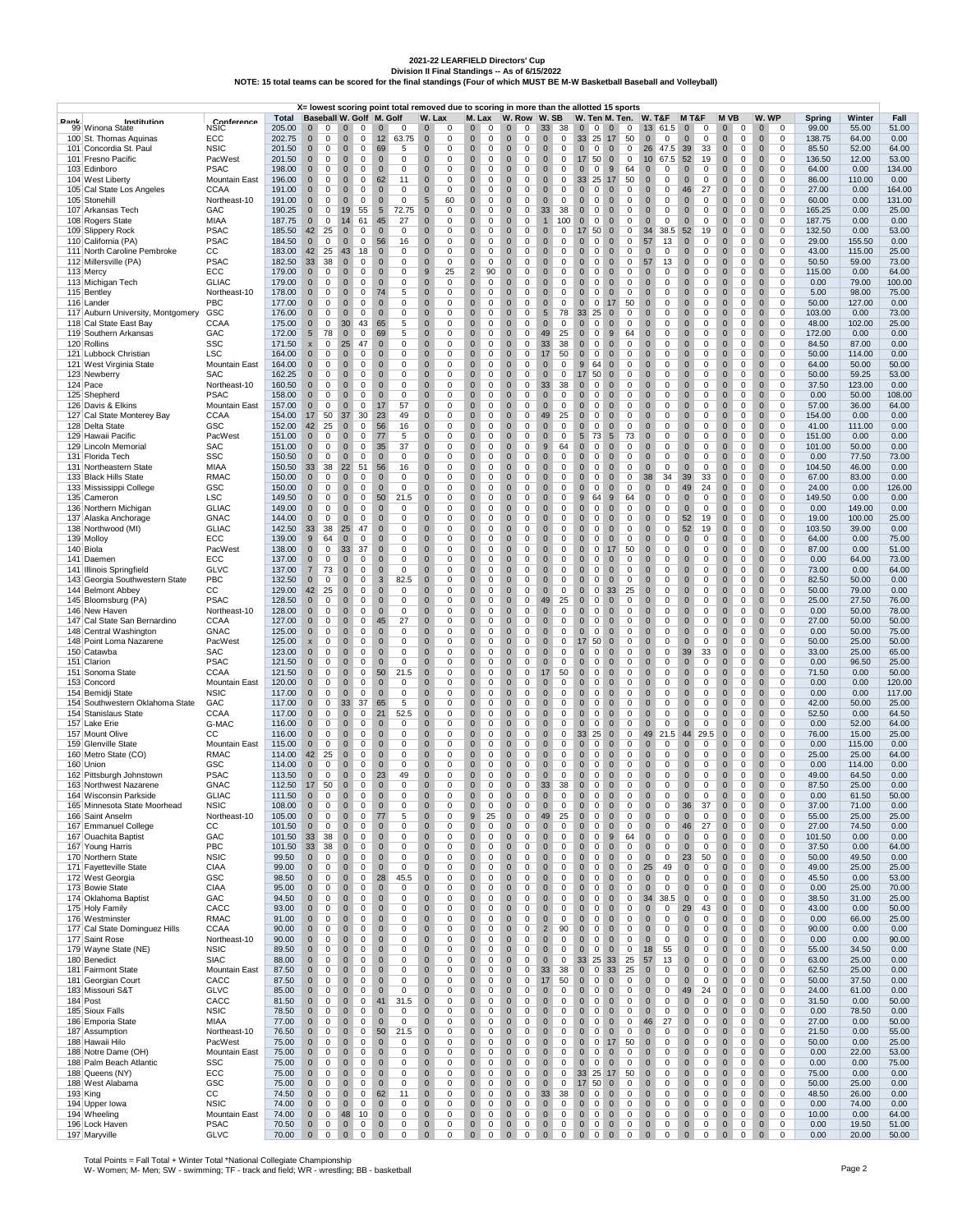2021-22 LEARFIELD Directors' Cup<br>Division II Final Standings -- As of 6/15/2022<br>NOTE: 15 total teams can be scored for the final standings (Four of which MUST BE M-W Basketball Baseball and Volleyball)

|      |                                                             |                                     |                  |                                                    |                                                       | X= lowest scoring point total removed due to scoring in more than the allotted 15 sports |                                                                |                                                                    |                                                        |                                                          |                                                                 |                                                 |                                                    |                                                      |                                                                |                                                    |                  |                  |                 |
|------|-------------------------------------------------------------|-------------------------------------|------------------|----------------------------------------------------|-------------------------------------------------------|------------------------------------------------------------------------------------------|----------------------------------------------------------------|--------------------------------------------------------------------|--------------------------------------------------------|----------------------------------------------------------|-----------------------------------------------------------------|-------------------------------------------------|----------------------------------------------------|------------------------------------------------------|----------------------------------------------------------------|----------------------------------------------------|------------------|------------------|-----------------|
| Book | Institution                                                 | Conference                          | Total            | Baseball W. Golf M. Golf                           |                                                       |                                                                                          | W. Lax                                                         | M. Lax                                                             | W. Row W. SB                                           |                                                          | W. Ten M. Ten.                                                  |                                                 | <b>W. T&amp;F</b>                                  | M T&F                                                | M VB                                                           | W. WP                                              | Spring           | Winter           | Fall            |
|      | 99 Winona State<br>100 St. Thomas Aquinas                   | NSIC<br>ECC                         | 205.00<br>202.75 | $\mathbf{0}$<br>$\mathbf{0}$<br>$\mathbf 0$<br>0   | $\overline{0}$<br>0<br>$\mathbf 0$<br>$\mathbf{0}$    | 0<br>$\mathbf 0$<br>63.75                                                                | $\mathbf 0$<br>0<br>$\mathbf 0$                                | $\mathbf 0$<br>0<br>$\mathbf 0$<br>$\mathbf 0$                     | 0<br>$\mathbf{0}$<br>$\mathbf{0}$<br>$\mathbf 0$       | 38<br>33<br>$\mathbf{0}$<br>0                            | $0\quad 0\quad 0$<br>33<br>25                                   | 0<br>17                                         | 13 61.5<br>$\mathbf{0}$                            | $\mathbf 0$<br>0<br>$\mathbf{0}$                     | 0<br>$\bf{0}$<br>$\mathbf 0$<br>0                              | $\bf{0}$<br>0<br>$\mathbf 0$<br>0                  | 99.00<br>138.75  | 55.00<br>64.00   | 51.00<br>0.00   |
|      | 101 Concordia St. Paul                                      | <b>NSIC</b>                         | 201.50           | $\mathbf 0$<br>0                                   | $\mathbf{0}$<br>0                                     | 12<br>69<br>5                                                                            | 0<br>$\mathbf{0}$<br>0                                         | $\mathbf{0}$<br>$\mathbf 0$                                        | $\mathbf{0}$<br>$\mathbf 0$                            | $\mathbf{0}$<br>0                                        | $\mathbf{0}$<br>$\circ$                                         | 50<br>$\mathbf{0}$<br>$\mathbf 0$               | 0<br>26 47.5                                       | 0<br>39<br>33                                        | $\mathbf{0}$<br>$\mathbf 0$                                    | $\mathbf{0}$<br>0                                  | 85.50            | 52.00            | 64.00           |
|      | 101 Fresno Pacific                                          | PacWest                             | 201.50           | $\mathbf 0$<br>0                                   | $\mathbf 0$<br>0                                      | $\mathbf 0$<br>0                                                                         | $\mathbf{0}$<br>0                                              | $\mathbf 0$<br>0                                                   | $\mathbf 0$<br>0                                       | $\mathbf{0}$<br>0                                        | 17 50                                                           | $\mathbf{0}$<br>0                               | 10 <sup>°</sup><br>67.5                            | 52<br>19                                             | $\mathbf 0$<br>0                                               | $\mathbf{0}$<br>0                                  | 136.50           | 12.00            | 53.00           |
|      | 103 Edinboro                                                | <b>PSAC</b>                         | 198.00           | $\mathbf 0$<br>0                                   | $\mathbf 0$<br>0                                      | $\mathbf 0$<br>0                                                                         | $\mathbf 0$<br>0                                               | $\mathbf 0$<br>0                                                   | $\mathbf 0$<br>0                                       | $\mathbf{0}$<br>0                                        | $\mathbf 0$<br>$\mathbf 0$                                      | 9<br>64                                         | $\mathbf 0$<br>0                                   | $\mathbf{0}$<br>0                                    | $\mathbf 0$<br>0                                               | $\mathbf{0}$<br>0                                  | 64.00            | 0.00             | 134.00          |
|      | 104 West Liberty<br>105 Cal State Los Angeles               | <b>Mountain East</b><br><b>CCAA</b> | 196.00<br>191.00 | $\mathbf 0$<br>0<br>$\mathbf 0$<br>0               | $\pmb{0}$<br>0<br>$\mathbf 0$<br>0                    | 62<br>11<br>$\mathbf 0$<br>$\mathbf 0$                                                   | $\pmb{0}$<br>0<br>$\mathbf 0$<br>0                             | $\pmb{0}$<br>$\overline{0}$<br>$\mathbf 0$<br>$\mathbf 0$          | $\bf{0}$<br>0<br>$\mathbf 0$<br>$\mathbf 0$            | $\mathbf 0$<br>0<br>$\mathbf{0}$<br>0                    | 33 25<br>$\mathbf 0$<br>0                                       | 17<br>50<br>0<br>$\mathbf{0}$                   | 0<br>$\mathbf 0$<br>$\mathbf 0$<br>0               | $\bf{0}$<br>0<br>46<br>27                            | $\bf{0}$<br>0<br>$\mathbf 0$<br>0                              | $\bf{0}$<br>0<br>$\mathbf{0}$<br>0                 | 86.00<br>27.00   | 110.00<br>0.00   | 0.00<br>164.00  |
|      | 105 Stonehill                                               | Northeast-10                        | 191.00           | $\mathbf 0$<br>0                                   | $\mathbf 0$<br>0                                      | $\mathbf 0$<br>$\mathbf 0$                                                               | $5\phantom{.0}$<br>60                                          | $\mathbf 0$<br>$\mathbf 0$                                         | $\mathbf 0$<br>$\mathbf 0$                             | $\mathbf{0}$<br>0                                        | $\mathbf 0$<br>0                                                | 0<br>$\Omega$                                   | $\mathbf{0}$<br>0                                  | $\mathbf 0$<br>0                                     | $\mathbf 0$<br>0                                               | $\mathbf{0}$<br>0                                  | 60.00            | 0.00             | 131.00          |
|      | 107 Arkansas Tech                                           | GAC                                 | 190.25           | $\mathbf 0$<br>0                                   | 19<br>55                                              | $5\phantom{.0}$<br>72.75                                                                 | $\mathbf 0$<br>0                                               | $\mathbf 0$<br>0                                                   | $\mathbf 0$<br>$\mathbf 0$                             | 33<br>38                                                 | $\mathbf 0$<br>0                                                | $\mathbf{0}$<br>0                               | 0<br>$\mathbf 0$                                   | $\mathbf 0$<br>0                                     | $\mathbf 0$<br>0                                               | $\mathbf 0$<br>0                                   | 165.25           | 0.00             | 25.00           |
|      | 108 Rogers State<br>109 Slippery Rock                       | MIAA<br><b>PSAC</b>                 | 187.75<br>185.50 | $\mathbf 0$<br>0<br>42<br>25                       | 61<br>14<br>$\bf{0}$<br>0                             | 45<br>27<br>$\bf{0}$<br>0                                                                | $\mathbf{0}$<br>0<br>$\pmb{0}$<br>0                            | $\mathbf 0$<br>0<br>$\mathbf 0$<br>0                               | $\mathbf 0$<br>0<br>$\mathsf 0$<br>$\bf{0}$            | 100<br>$\overline{1}$<br>$\mathbf 0$<br>0                | $\mathbf 0$<br>0<br>17<br>50                                    | $\mathbf 0$<br>0<br>$\bf{0}$<br>0               | $\mathbf 0$<br>0<br>38.5<br>34                     | $\mathbf 0$<br>0<br>52<br>19                         | $\mathbf 0$<br>0<br>$\bf{0}$<br>0                              | $\mathbf 0$<br>0<br>$\bf{0}$<br>0                  | 187.75<br>132.50 | 0.00<br>0.00     | 0.00<br>53.00   |
|      | 110 California (PA)                                         | <b>PSAC</b>                         | 184.50           | $\mathbf 0$<br>0                                   | $\mathbf 0$<br>0                                      | 56<br>16                                                                                 | $\mathbf{0}$<br>0                                              | $\mathbf 0$<br>$\mathbf 0$                                         | $\mathbf 0$<br>0                                       | $\mathbf{0}$<br>0                                        | $\mathbf 0$<br>0                                                | $\mathbf 0$<br>0                                | 57<br>13                                           | $\mathbf 0$<br>0                                     | $\mathbf 0$<br>0                                               | $\mathbf 0$<br>0                                   | 29.00            | 155.50           | 0.00            |
|      | 111 North Caroline Pembroke                                 | CС                                  | 183.00           | 42<br>25                                           | 43<br>18                                              | $\mathbf 0$<br>$\mathbf 0$                                                               | $\mathbf{0}$<br>0                                              | $\mathbf{0}$<br>$\mathbf 0$                                        | $\mathbf{0}$<br>0                                      | $\mathbf 0$<br>$\mathbf 0$                               | $\mathbf 0$<br>0                                                | $\mathbf{0}$<br>0                               | 0<br>$\Omega$                                      | $\mathbf 0$<br>0                                     | $\mathbf 0$<br>0                                               | $\mathbf{0}$<br>0                                  | 43.00            | 115.00           | 25.00           |
|      | 112 Millersville (PA)                                       | <b>PSAC</b>                         | 182.50           | 33<br>38                                           | $\mathbf 0$<br>0                                      | 0<br>$\mathbf 0$                                                                         | $\mathbf{0}$<br>0                                              | $\pmb{0}$<br>0                                                     | $\mathbf 0$<br>0                                       | 0<br>$\mathbf{0}$                                        | $\mathbf 0$<br>0                                                | $\mathbf 0$<br>0                                | 13<br>57                                           | $\mathbf 0$<br>0                                     | $\mathbf 0$<br>0                                               | $\mathbf{0}$<br>0                                  | 50.50            | 59.00            | 73.00           |
|      | 113 Mercy<br>113 Michigan Tech                              | ECC<br><b>GLIAC</b>                 | 179.00<br>179.00 | $\mathbf 0$<br>0<br>0<br>$\mathbf 0$               | $\mathbf 0$<br>0<br>$\pmb{0}$<br>0                    | 0<br>$\mathbf 0$<br>$\mathbf 0$<br>0                                                     | 9<br>25<br>$\pmb{0}$<br>0                                      | $\overline{2}$<br>90<br>$\pmb{0}$<br>0                             | $\mathbf 0$<br>0<br>$\bf{0}$<br>0                      | $\mathbf{0}$<br>0<br>$\mathbf 0$<br>0                    | $\mathbf 0$<br>0<br>$\bf{0}$<br>0                               | $\mathbf{0}$<br>0<br>$\mathbf 0$<br>0           | $\mathbf 0$<br>0<br>0<br>$\bf{0}$                  | $\mathbf 0$<br>0<br>$\mathbf 0$<br>0                 | $\mathbf 0$<br>0<br>$\pmb{0}$<br>0                             | $\mathbf 0$<br>0<br>$\bf{0}$<br>0                  | 115.00<br>0.00   | 0.00<br>79.00    | 64.00<br>100.00 |
|      | 115 Bentley                                                 | Northeast-10                        | 178.00           | $\mathbf 0$<br>0                                   | $\mathbf 0$<br>0                                      | 5<br>74                                                                                  | $\mathbf{0}$<br>0                                              | $\mathbf 0$<br>$\mathbf 0$                                         | $\mathbf 0$<br>0                                       | $\mathbf{0}$<br>0                                        | $\mathbf 0$<br>0                                                | $\mathbf 0$<br>0                                | $\mathbf 0$<br>0                                   | $\mathbf 0$<br>0                                     | $\mathbf 0$<br>0                                               | $\mathbf 0$<br>0                                   | 5.00             | 98.00            | 75.00           |
|      | 116 Lander                                                  | PBC                                 | 177.00           | $\mathbf 0$<br>0                                   | $\mathbf 0$<br>0                                      | $\mathbf 0$<br>$\mathbf 0$                                                               | $\mathbf{0}$<br>0                                              | $\mathbf{0}$<br>$\mathbf 0$                                        | $\mathbf 0$<br>0                                       | $\mathbf 0$<br>0                                         | $\mathbf 0$<br>$\mathbf 0$                                      | 50<br>17                                        | $\mathbf{0}$<br>0                                  | $\mathbf{0}$<br>0                                    | $\mathbf 0$<br>0                                               | $\mathbf 0$<br>0                                   | 50.00            | 127.00           | 0.00            |
|      | 117 Auburn University, Montgomery<br>118 Cal State East Bay | GSC                                 | 176.00           | $\mathbf 0$<br>0                                   | $\mathbf 0$<br>0                                      | $\mathbf 0$<br>$\mathbf 0$                                                               | $\bf 0$<br>0                                                   | $\mathbf 0$<br>0                                                   | $\mathbf 0$<br>0                                       | 78<br>$5\phantom{.0}$                                    | 33<br>25                                                        | $\mathbf 0$<br>0                                | 0<br>$\mathbf 0$                                   | $\mathbf{0}$<br>0                                    | $\mathbf 0$<br>0                                               | $\mathbf 0$<br>0                                   | 103.00           | 0.00             | 73.00           |
|      | 119 Southern Arkansas                                       | <b>CCAA</b><br>GAC                  | 175.00<br>172.00 | $\mathbf 0$<br>0<br>5<br>78                        | 30<br>43<br>$\bf{0}$<br>0                             | 65<br>5<br>69<br>5                                                                       | $\mathbf{0}$<br>0<br>$\pmb{0}$<br>0                            | $\mathbf 0$<br>0<br>$\mathbf 0$<br>0                               | $\mathbf 0$<br>0<br>$\bf{0}$<br>0                      | $\mathbf{0}$<br>0<br>25<br>49                            | $\mathbf 0$<br>0<br>$\bf{0}$<br>0                               | $\mathbf 0$<br>0<br>9<br>64                     | 0<br>$\mathbf 0$<br>$\bf{0}$<br>0                  | $\mathbf 0$<br>0<br>$\mathbf 0$<br>0                 | $\mathbf 0$<br>0<br>$\bf{0}$<br>0                              | $\mathbf{0}$<br>0<br>$\bf{0}$<br>0                 | 48.00<br>172.00  | 102.00<br>0.00   | 25.00<br>0.00   |
|      | 120 Rollins                                                 | <b>SSC</b>                          | 171.50           | 0<br>$\pmb{\mathsf{x}}$                            | 25<br>47                                              | 0<br>$\mathbf 0$                                                                         | $\mathbf 0$<br>0                                               | $\mathbf 0$<br>$\mathbf 0$                                         | $\mathbf 0$<br>0                                       | 33<br>38                                                 | $\mathbf 0$<br>0                                                | $\mathbf 0$<br>0                                | 0<br>$\mathbf 0$                                   | $\mathbf 0$<br>0                                     | $\mathbf 0$<br>0                                               | $\mathbf 0$<br>0                                   | 84.50            | 87.00            | 0.00            |
|      | 121 Lubbock Christian                                       | <b>LSC</b>                          | 164.00           | $\mathbf{0}$<br>0                                  | $\mathbf 0$<br>0                                      | $\mathbf 0$<br>$\mathbf 0$                                                               | $\mathbf{0}$<br>0                                              | $\mathbf{0}$<br>$\mathbf 0$                                        | $\mathbf{0}$<br>0                                      | 17<br>50                                                 | $\mathbf 0$<br>0                                                | $\mathbf{0}$<br>0                               | $\mathbf{0}$<br>0                                  | $\mathbf 0$<br>0                                     | $\mathbf 0$<br>0                                               | $\mathbf{0}$<br>0                                  | 50.00            | 114.00           | 0.00            |
|      | 121 West Virginia State                                     | Mountain East                       | 164.00<br>162.25 | $\mathbf 0$<br>0<br>$\mathbf 0$                    | $\mathbf 0$<br>0<br>$\mathbf 0$                       | $\mathbf 0$<br>$\mathbf 0$<br>0<br>$\mathbf 0$                                           | $\mathbf{0}$<br>0<br>$\mathbf 0$                               | $\mathbf 0$<br>0<br>$\mathbf 0$<br>0                               | $\mathbf 0$<br>0<br>$\mathbf 0$                        | $\mathbf 0$<br>0                                         | $9$<br>64<br>17 50                                              | $\mathbf{0}$<br>0                               | 0<br>$\mathbf 0$                                   | $\mathbf 0$<br>0<br>$\mathbf 0$                      | $\mathbf 0$<br>0<br>$\mathbf 0$                                | $\mathbf{0}$<br>0                                  | 64.00            | 50.00<br>59.25   | 50.00<br>53.00  |
|      | 123 Newberry<br>124 Pace                                    | SAC<br>Northeast-10                 | 160.50           | 0<br>$\mathbf 0$<br>0                              | 0<br>$\pmb{0}$<br>0                                   | $\mathbf 0$<br>0                                                                         | 0<br>$\pmb{0}$<br>0                                            | $\pmb{0}$<br>0                                                     | 0<br>$\bf{0}$<br>0                                     | $\mathbf{0}$<br>0<br>33<br>38                            | $\bf{0}$<br>0                                                   | $\mathbf{0}$<br>0<br>$\mathbf 0$<br>0           | $\mathbf 0$<br>0<br>0<br>$\bf{0}$                  | 0<br>$\mathbf 0$<br>0                                | 0<br>$\bf{0}$<br>0                                             | $\mathbf 0$<br>0<br>$\bf{0}$<br>0                  | 50.00<br>37.50   | 123.00           | 0.00            |
|      | 125 Shepherd                                                | <b>PSAC</b>                         | 158.00           | $\mathbf 0$<br>0                                   | $\mathbf 0$<br>0                                      | $\mathbf{0}$<br>0                                                                        | $\mathbf{0}$<br>0                                              | $\mathbf 0$<br>$\mathbf 0$                                         | $\mathbf 0$<br>0                                       | $\mathbf 0$<br>0                                         | $\mathbf 0$<br>0                                                | $\mathbf{0}$<br>0                               | $\mathbf 0$<br>0                                   | $\mathbf 0$<br>0                                     | $\mathbf 0$<br>0                                               | $\mathbf{0}$<br>0                                  | 0.00             | 50.00            | 108.00          |
|      | 126 Davis & Elkins                                          | Mountain East                       | 157.00           | $\mathbf{0}$<br>0                                  | $\mathbf 0$<br>0                                      | 17<br>57                                                                                 | $\mathbf{0}$<br>0                                              | $\mathbf{0}$<br>$\mathbf 0$                                        | $\mathbf 0$<br>$\mathbf 0$                             | $\mathbf{0}$<br>0                                        | $\mathbf 0$<br>0                                                | 0<br>$\Omega$                                   | $\mathbf{0}$<br>0                                  | $\mathbf 0$<br>0                                     | $\mathbf 0$<br>0                                               | $\mathbf 0$<br>0                                   | 57.00            | 36.00            | 64.00           |
|      | 127 Cal State Monterey Bay<br>128 Delta State               | CCAA<br>GSC                         | 154.00<br>152.00 | 17<br>50<br>42<br>25                               | 37<br>30<br>$\mathbf 0$<br>0                          | 23<br>49<br>56<br>16                                                                     | $\bf 0$<br>0<br>$\mathbf 0$<br>0                               | $\mathbf 0$<br>0<br>$\mathbf 0$<br>0                               | $\mathbf 0$<br>$\mathbf 0$<br>$\mathbf 0$<br>0         | 25<br>49<br>0<br>$\mathbf{0}$                            | $\mathbf 0$<br>0<br>$\mathbf 0$<br>0                            | 0<br>$\mathbf 0$<br>$\mathbf 0$<br>0            | 0<br>$\mathbf 0$<br>$\mathbf 0$<br>0               | $\mathbf 0$<br>0<br>$\mathbf 0$<br>0                 | $\mathbf 0$<br>0<br>$\mathbf 0$<br>0                           | $\mathbf 0$<br>0<br>$\mathbf{0}$<br>0              | 154.00<br>41.00  | 0.00<br>111.00   | 0.00<br>0.00    |
|      | 129 Hawaii Pacific                                          | PacWest                             | 151.00           | $\mathbf 0$<br>0                                   | $\pmb{0}$<br>0                                        | 77<br>5                                                                                  | $\pmb{0}$<br>0                                                 | $\mathbf 0$<br>0                                                   | $\mathbf 0$<br>$\bf{0}$                                | $\mathbf 0$<br>0                                         | $\sqrt{5}$<br>73                                                | $\sqrt{5}$<br>73                                | 0<br>$\mathbf 0$                                   | $\bf{0}$<br>0                                        | $\pmb{0}$<br>0                                                 | $\bf{0}$<br>0                                      | 151.00           | 0.00             | 0.00            |
|      | 129 Lincoln Memorial                                        | <b>SAC</b>                          | 151.00           | $\mathbf 0$<br>0                                   | $\mathbf 0$<br>0                                      | 35<br>37                                                                                 | $\mathbf 0$<br>0                                               | $\mathbf 0$<br>$\mathbf 0$                                         | $\mathbf 0$<br>0                                       | 9<br>64                                                  | $\mathbf 0$<br>0                                                | $\mathbf 0$<br>0                                | 0<br>$\mathbf 0$                                   | $\mathbf 0$<br>0                                     | $\mathbf 0$<br>0                                               | $\mathbf 0$<br>0                                   | 101.00           | 50.00            | 0.00            |
|      | 131 Florida Tech                                            | SSC                                 | 150.50           | $\mathbf{0}$<br>$\mathbf 0$                        | $\mathbf{0}$<br>0                                     | $\mathbf 0$<br>$\mathbf 0$                                                               | $\mathbf{0}$<br>0                                              | $\mathbf{0}$<br>$\mathbf 0$                                        | $\mathbf 0$<br>0                                       | $\mathbf{0}$<br>$\mathbf 0$                              | $\mathbf 0$<br>0                                                | $\mathbf 0$<br>0                                | $\mathbf{0}$<br>0                                  | $\mathbf 0$<br>0                                     | $\mathbf 0$<br>0                                               | $\mathbf{0}$<br>0                                  | 0.00             | 77.50            | 73.00           |
|      | 131 Northeastern State<br>133 Black Hills State             | MIAA<br><b>RMAC</b>                 | 150.50<br>150.00 | 33<br>38<br>$\mathbf 0$<br>0                       | 51<br>22<br>$\pmb{0}$<br>0                            | 56<br>16<br>0<br>$\mathbf 0$                                                             | $\mathbf{0}$<br>0<br>$\mathbf{0}$<br>0                         | $\mathbf 0$<br>0<br>$\mathbf 0$<br>0                               | $\mathbf 0$<br>0<br>$\mathbf 0$<br>0                   | $\mathbf 0$<br>0<br>$\mathbf{0}$<br>0                    | $\mathbf 0$<br>0<br>$\mathbf 0$<br>0                            | $\mathbf 0$<br>0<br>$\mathbf 0$<br>0            | 0<br>$\mathbf 0$<br>34<br>38                       | $\mathbf 0$<br>0<br>39<br>33                         | $\mathbf 0$<br>0<br>$\mathbf 0$<br>0                           | $\mathbf 0$<br>0<br>$\mathbf 0$<br>0               | 104.50<br>67.00  | 46.00<br>83.00   | 0.00<br>0.00    |
|      | 133 Mississippi College                                     | GSC                                 | 150.00           | $\mathbf 0$<br>0                                   | $\pmb{0}$<br>0                                        | 0<br>$\mathbf 0$                                                                         | $\pmb{0}$<br>0                                                 | $\pmb{0}$<br>0                                                     | $\bf{0}$<br>0                                          | $\mathbf 0$<br>0                                         | $\pmb{0}$<br>0                                                  | $\mathbf{0}$<br>0                               | 0<br>$\bf{0}$                                      | 49<br>24                                             | $\bf{0}$<br>0                                                  | $\bf{0}$<br>0                                      | 24.00            | 0.00             | 126.00          |
|      | 135 Cameron                                                 | <b>LSC</b>                          | 149.50           | $\mathbf 0$<br>0                                   | $\mathbf 0$<br>0                                      | 50<br>21.5                                                                               | $\mathbf 0$<br>0                                               | $\mathbf 0$<br>$\mathbf 0$                                         | $\mathbf 0$<br>0                                       | $\mathbf 0$<br>0                                         | 9<br>64                                                         | 9<br>64                                         | $\mathbf 0$<br>0                                   | $\mathbf 0$<br>0                                     | $\mathbf 0$<br>0                                               | $\mathbf 0$<br>0                                   | 149.50           | 0.00             | 0.00            |
|      | 136 Northern Michigan                                       | <b>GLIAC</b><br><b>GNAC</b>         | 149.00<br>144.00 | $\mathbf{0}$<br>0<br>$\mathbf 0$<br>0              | $\mathbf 0$<br>0<br>$\mathbf 0$<br>0                  | $\mathbf{0}$<br>$\mathbf 0$<br>$\mathbf 0$<br>$\mathbf 0$                                | $\mathbf 0$<br>0<br>$\mathbf{0}$<br>0                          | $\mathbf{0}$<br>$\mathbf 0$<br>$\mathbf 0$<br>0                    | $\mathbf 0$<br>0<br>$\mathbf 0$<br>0                   | $\mathbf 0$<br>0<br>$\mathbf 0$<br>0                     | $\mathbf 0$<br>$\mathbf 0$<br>$\mathbf 0$<br>0                  | $\mathbf{0}$<br>0<br>$\mathbf 0$<br>0           | $\mathbf{0}$<br>0<br>0<br>$\mathbf 0$              | $\mathbf 0$<br>0<br>52<br>19                         | $\mathbf 0$<br>0<br>$\mathbf 0$<br>0                           | $\mathbf{0}$<br>0<br>$\mathbf 0$<br>0              | 0.00<br>19.00    | 149.00<br>100.00 | 0.00<br>25.00   |
|      | 137 Alaska Anchorage<br>138 Northwood (MI)                  | <b>GLIAC</b>                        | 142.50           | 33<br>38                                           | 25<br>47                                              | 0<br>$\mathbf 0$                                                                         | $\mathbf{0}$<br>0                                              | 0<br>$\mathbf 0$                                                   | $\mathbf 0$<br>0                                       | 0<br>$\mathbf{0}$                                        | $\mathbf 0$<br>0                                                | $\mathbf 0$<br>0                                | 0<br>$\mathbf 0$                                   | 52<br>19                                             | $\mathbf 0$<br>0                                               | $\overline{0}$<br>0                                | 103.50           | 39.00            | 0.00            |
|      | 139 Molloy                                                  | ECC                                 | 139.00           | $9\,$<br>64                                        | $\pmb{0}$<br>0                                        | 0<br>$\mathbf 0$                                                                         | $\pmb{0}$<br>0                                                 | $\mathbf 0$<br>0                                                   | $\mathbf 0$<br>$\bf{0}$                                | $\mathbf 0$<br>0                                         | $\pmb{0}$<br>0                                                  | $\bf{0}$<br>0                                   | 0<br>$\bf{0}$                                      | $\mathbf 0$<br>0                                     | $\pmb{0}$<br>0                                                 | $\bf{0}$<br>0                                      | 64.00            | 0.00             | 75.00           |
|      | 140 Biola                                                   | PacWest                             | 138.00           | $\mathbf 0$<br>0                                   | 33<br>37                                              | 0<br>$\mathbf 0$                                                                         | $\mathbf{0}$<br>0                                              | $\mathbf 0$<br>0                                                   | $\mathbf 0$<br>0                                       | $\mathbf{0}$<br>0                                        | $\mathbf 0$<br>0                                                | 50<br>17                                        | $\mathbf 0$<br>0                                   | $\mathbf{0}$<br>0                                    | $\mathbf 0$<br>0                                               | $\mathbf 0$<br>0                                   | 87.00            | 0.00             | 51.00           |
|      | 141 Daemen<br>141 Illinois Springfield                      | ECC<br><b>GLVC</b>                  | 137.00<br>137.00 | $\mathbf{0}$<br>0<br>$\overline{7}$<br>73          | $\mathbf 0$<br>0<br>$\mathbf 0$<br>0                  | 0<br>$\mathbf 0$<br>$\mathbf 0$<br>$\mathbf 0$                                           | $\mathbf{0}$<br>0<br>$\mathbf{0}$<br>0                         | $\mathbf{0}$<br>$\mathbf 0$<br>$\mathbf 0$<br>0                    | $\mathbf 0$<br>0<br>$\mathbf 0$<br>0                   | $\mathbf 0$<br>0<br>$\mathbf 0$<br>0                     | $\mathbf 0$<br>0<br>$\mathbf 0$<br>0                            | $\mathbf 0$<br>0<br>$\mathbf 0$<br>0            | $\mathbf{0}$<br>0<br>0<br>$\mathbf 0$              | $\mathbf 0$<br>0<br>$\mathbf 0$<br>0                 | $\mathbf 0$<br>0<br>$\mathbf 0$<br>0                           | $\mathbf{0}$<br>0<br>$\mathbf{0}$<br>0             | 0.00<br>73.00    | 64.00<br>0.00    | 73.00<br>64.00  |
|      | 143 Georgia Southwestern State                              | PBC                                 | 132.50           | $\mathbf 0$<br>0                                   | $\mathbf 0$<br>0                                      | 82.5<br>3                                                                                | $\mathbf 0$<br>0                                               | $\mathbf 0$<br>0                                                   | $\mathbf 0$<br>0                                       | $\mathbf{0}$<br>0                                        | $\mathbf 0$<br>0                                                | $\mathbf{0}$<br>0                               | $\mathbf 0$<br>0                                   | $\mathbf 0$<br>0                                     | $\mathbf 0$<br>0                                               | $\mathbf 0$<br>0                                   | 82.50            | 50.00            | 0.00            |
|      | 144 Belmont Abbey                                           | cc                                  | 129.00           | 42<br>25                                           | $\bf{0}$<br>0                                         | 0<br>$\mathbf 0$                                                                         | $\pmb{0}$<br>0                                                 | $\pmb{0}$<br>0                                                     | $\bf{0}$<br>0                                          | $\mathbf 0$<br>0                                         | $\pmb{0}$<br>0                                                  | 33<br>25                                        | 0<br>$\bf{0}$                                      | $\mathbf 0$<br>0                                     | $\pmb{0}$<br>0                                                 | $\bf{0}$<br>0                                      | 50.00            | 79.00            | 0.00            |
|      | 145 Bloomsburg (PA)                                         | <b>PSAC</b>                         | 128.50           | $\mathbf 0$<br>0                                   | $\mathbf 0$<br>0                                      | $\mathbf 0$<br>$\mathbf 0$                                                               | $\mathbf 0$<br>0                                               | $\mathbf 0$<br>$\mathbf 0$                                         | $\mathbf 0$<br>0                                       | 49<br>25                                                 | $\mathbf 0$<br>0                                                | 0<br>$\mathbf 0$                                | $\mathbf 0$<br>0                                   | $\mathbf 0$<br>0                                     | $\mathbf 0$<br>0                                               | $\mathbf{0}$<br>0                                  | 25.00            | 27.50            | 76.00           |
|      | 146 New Haven<br>147 Cal State San Bernardino               | Northeast-10<br>CCAA                | 128.00<br>127.00 | $\mathbf 0$<br>0<br>$\mathbf 0$<br>0               | $\mathbf 0$<br>0<br>$\mathbf 0$<br>0                  | $\mathbf 0$<br>$\mathbf 0$<br>27<br>45                                                   | $\mathbf 0$<br>0<br>$\bf 0$<br>0                               | $\mathbf{0}$<br>$\mathbf 0$<br>$\mathbf 0$<br>0                    | $\mathbf 0$<br>0<br>$\mathbf 0$<br>0                   | $\mathbf{0}$<br>0<br>$\mathbf 0$<br>0                    | $\mathbf 0$<br>0<br>$\mathbf 0$<br>0                            | $\mathbf{0}$<br>0<br>$\mathbf{0}$<br>0          | $\mathbf 0$<br>0<br>0<br>$\mathbf 0$               | $\mathbf{0}$<br>0<br>$\mathbf{0}$<br>0               | $\mathbf 0$<br>0<br>$\mathbf 0$<br>0                           | $\mathbf 0$<br>0<br>$\mathbf 0$<br>0               | 0.00<br>27.00    | 50.00<br>50.00   | 78.00<br>50.00  |
|      | 148 Central Washington                                      | <b>GNAC</b>                         | 125.00           | $\mathbf 0$<br>0                                   | $\mathbf 0$<br>0                                      | 0<br>$\mathbf 0$                                                                         | $\mathbf{0}$<br>0                                              | $\mathbf 0$<br>0                                                   | $\mathbf 0$<br>0                                       | 0<br>$\mathbf{0}$                                        | $\mathbf 0$<br>0                                                | $\mathbf 0$<br>0                                | $\mathbf 0$<br>0                                   | $\mathbf 0$<br>0                                     | $\mathbf 0$<br>0                                               | $\mathbf 0$<br>0                                   | 0.00             | 50.00            | 75.00           |
|      | 148 Point Loma Nazarene                                     | PacWest                             | 125.00           | 0<br>X                                             | $\pmb{0}$<br>0                                        | $\mathbf 0$<br>0                                                                         | $\pmb{0}$<br>0                                                 | $\mathbf 0$<br>0                                                   | $\mathbf 0$<br>$\bf{0}$                                | $\mathbf 0$<br>0                                         | 17<br>50                                                        | $\bf{0}$<br>0                                   | 0<br>$\bf{0}$                                      | $\bf{0}$<br>0                                        | $\bf{0}$<br>0                                                  | $\bf{0}$<br>0                                      | 50.00            | 25.00            | 50.00           |
|      | 150 Catawba                                                 | <b>SAC</b>                          | 123.00           | $\mathbf 0$<br>0                                   | $\mathbf 0$<br>0                                      | $\mathbf 0$<br>0                                                                         | $\mathbf{0}$<br>0                                              | $\mathbf 0$<br>$\mathbf 0$                                         | $\mathbf 0$<br>0                                       | $\mathbf{0}$<br>0                                        | $\mathbf 0$<br>0                                                | $\mathbf 0$<br>0                                | 0<br>$\mathbf 0$                                   | 39<br>33                                             | $\mathbf 0$<br>0                                               | $\mathbf 0$<br>0                                   | 33.00            | 25.00            | 65.00           |
|      | 151 Clarion<br>151 Sonoma State                             | <b>PSAC</b><br><b>CCAA</b>          | 121.50<br>121.50 | $\mathbf{0}$<br>0<br>$\mathbf 0$<br>0              | $\mathbf 0$<br>0<br>$\mathbf 0$<br>0                  | $\mathbf{0}$<br>$\mathbf 0$<br>50<br>21.5                                                | $\mathbf{0}$<br>0<br>$\mathbf{0}$<br>0                         | $\mathbf{0}$<br>$\mathbf 0$<br>$\mathbf 0$<br>0                    | $\mathbf 0$<br>0<br>$\mathbf 0$<br>0                   | $\mathbf{0}$<br>0<br>17<br>50                            | $\mathbf 0$<br>0<br>$\mathbf 0$<br>0                            | $\mathbf 0$<br>$\mathbf 0$<br>$\mathbf{0}$<br>0 | $\mathbf{0}$<br>0<br>$\mathbf 0$<br>0              | $\mathbf 0$<br>0<br>$\mathbf 0$<br>0                 | $\mathbf 0$<br>0<br>$\mathbf 0$<br>0                           | $\mathbf{0}$<br>0<br>$\mathbf{0}$<br>0             | 0.00<br>71.50    | 96.50<br>0.00    | 25.00<br>50.00  |
|      | 153 Concord                                                 | <b>Mountain East</b>                | 120.00           | $\mathbf 0$<br>0                                   | $\pmb{0}$<br>0                                        | 0<br>$\mathbf 0$                                                                         | $\mathbf{0}$<br>0                                              | $\mathbf 0$<br>0                                                   | $\mathbf 0$<br>0                                       | $\mathbf 0$<br>0                                         | $\mathbf 0$<br>0                                                | $\mathbf{0}$<br>0                               | 0<br>$\mathbf 0$                                   | $\mathbf 0$<br>0                                     | $\mathbf 0$<br>0                                               | $\bf{0}$<br>0                                      | 0.00             | 0.00             | 120.00          |
|      | 154 Bemidji State                                           | <b>NSIC</b>                         | 117.00           | $\bf{0}$<br>0                                      | $\pmb{0}$<br>0                                        | 0<br>$\mathbf 0$                                                                         | $\pmb{0}$<br>0                                                 | $\pmb{0}$<br>0                                                     | $\bf{0}$<br>0                                          | $\mathbf 0$<br>0                                         | $\pmb{0}$<br>0                                                  | $\mathbf 0$<br>0                                | 0<br>$\mathbf 0$                                   | 0<br>$\mathbf 0$                                     | $\pmb{0}$<br>0                                                 | $\bf{0}$<br>0                                      | 0.00             | 0.00             | 117.00          |
|      | 154 Southwestern Oklahoma State<br>154 Stanislaus State     | GAC<br><b>CCAA</b>                  | 117.00<br>117.00 | $\mathbf 0$<br>0<br>$\mathbf 0$<br>0               | 33<br>37<br>$\mathbf 0$<br>0                          | 65<br>5<br>21<br>52.5                                                                    | $\mathbf 0$<br>0<br>$\mathbf 0$<br>0                           | $\mathbf 0$<br>$\mathbf 0$<br>$\mathbf{0}$<br>$\mathbf 0$          | $\mathbf 0$<br>0<br>$\mathbf 0$<br>0                   | $\mathbf 0$<br>0<br>$\mathbf 0$<br>0                     | $\mathbf 0$<br>0<br>$\mathbf 0$<br>0                            | $\mathbf 0$<br>0<br>$\mathbf{0}$<br>0           | $\mathbf 0$<br>0<br>$\mathbf 0$<br>0               | $\mathbf 0$<br>0<br>$\mathbf 0$<br>0                 | $\mathbf 0$<br>0<br>$\mathbf 0$<br>0                           | $\mathbf 0$<br>0<br>$\mathbf 0$<br>0               | 42.00<br>52.50   | 50.00<br>0.00    | 25.00<br>64.50  |
|      | 157 Lake Erie                                               | G-MAC                               | 116.00           | $\mathbf 0$<br>0                                   | $\mathbf 0$<br>0                                      | $\mathbf{0}$<br>$\mathbf 0$                                                              | $\mathbf{0}$<br>0                                              | $\mathbf 0$<br>0                                                   | $\mathbf 0$<br>0                                       | $\mathbf 0$<br>0                                         | $\mathbf 0$<br>0                                                | $\mathbf 0$<br>0                                | $\mathbf 0$<br>0                                   | $\mathbf 0$<br>0                                     | $\mathbf 0$<br>0                                               | $\mathbf 0$<br>0                                   | 0.00             | 52.00            | 64.00           |
|      | 157 Mount Olive                                             | СC                                  | 116.00           | $\mathbf 0$<br>0                                   | $\mathbf 0$<br>0                                      | $\overline{0}$<br>0                                                                      | $\mathbf{0}$<br>0                                              | $\mathbf 0$<br>0                                                   | $\mathbf 0$<br>0                                       | $\mathbf 0$<br>0                                         | 33<br>25                                                        | $\mathbf 0$<br>0                                | 49<br>21.5                                         | 44<br>29.5                                           | $\mathbf 0$<br>0                                               | $\mathbf 0$<br>0                                   | 76.00            | 15.00            | 25.00           |
|      | 159 Glenville State                                         | <b>Mountain East</b>                | 115.00           | 0<br>0                                             | $\pmb{0}$<br>0                                        | $\mathbf 0$<br>0                                                                         | $\mathbf 0$<br>0                                               | $\mathbf 0$<br>0                                                   | 0<br>$\bf{0}$                                          | $\mathbf 0$<br>0                                         | $\bf{0}$<br>0                                                   | $\mathbf 0$<br>0                                | $\bf{0}$<br>0                                      | $\bf{0}$<br>0                                        | $\bf{0}$<br>0                                                  | $\bf{0}$<br>0                                      | 0.00             | 115.00           | 0.00            |
|      | 160 Metro State (CO)<br>160 Union                           | <b>RMAC</b><br>GSC                  | 114.00<br>114.00 | 42<br>25<br>$\mathbf{0}$<br>0                      | $\mathbf 0$<br>0<br>$\mathbf 0$<br>0                  | $\mathbf 0$<br>$^{\circ}$<br>$\mathbf 0$<br>$\mathbf 0$                                  | $\mathbf 0$<br>0<br>$\mathbf{0}$<br>0                          | $\mathbf 0$<br>0<br>$\mathbf{0}$<br>$\mathbf 0$                    | $\mathbf 0$<br>0<br>$\mathbf 0$<br>0                   | $\mathbf{0}$<br>0<br>$\mathbf 0$<br>0                    | $\mathbf 0$<br>0<br>$\mathbf 0$<br>0                            | $\mathbf{0}$<br>0<br>$\mathbf{0}$<br>0          | $\mathbf 0$<br>0<br>$\mathbf{0}$<br>0              | $\mathbf{0}$<br>0<br>$\mathbf 0$<br>0                | $\mathbf 0$<br>0<br>$\mathbf 0$<br>0                           | 0<br>$\mathbf 0$<br>$\mathbf 0$<br>0               | 25.00<br>0.00    | 25.00<br>114.00  | 64.00<br>0.00   |
|      | 162 Pittsburgh Johnstown                                    | <b>PSAC</b>                         | 113.50           | $\mathbf{0}$<br>0                                  | $\mathbf 0$<br>0                                      | 23<br>49                                                                                 | $\mathbf{0}$<br>0                                              | $\mathbf 0$<br>0                                                   | $\mathbf{0}$<br>0                                      | $\mathbf 0$<br>$\mathbf{0}$                              | $\mathbf{0}$<br>$\mathbf 0$                                     | $\mathbf{0}$<br>0                               | $\mathbf 0$<br>0                                   | $\bf{0}$<br>0                                        | $\mathbf 0$<br>0                                               | $\mathbf{0}$<br>0                                  | 49.00            | 64.50            | 0.00            |
|      | 163 Northwest Nazarene                                      | <b>GNAC</b>                         | 112.50           | 17<br>50                                           | $\mathbf{0}$<br>0                                     | $\mathbf 0$<br>0                                                                         | $\pmb{0}$<br>0                                                 | $\mathbf 0$<br>0                                                   | $\mathbf 0$<br>0                                       | 33                                                       | 38 0 0 0                                                        | 0                                               | $\overline{0}$<br>0                                | $\mathbf{0}$<br>0                                    | $\mathbf 0$<br>0                                               | $\mathbf{0}$<br>0                                  | 87.50            | 25.00            | 0.00            |
|      | 164 Wisconsin Parkside<br>165 Minnesota State Moorhead      | <b>GLIAC</b><br><b>NSIC</b>         | 111.50<br>108.00 | $\overline{0}$<br>$\mathbf{0}$<br>$\mathbf 0$<br>0 | $\pmb{0}$<br>0<br>$\pmb{0}$<br>0                      | $\mathbf 0$<br>$\mathbf 0$<br>0                                                          | $\mathbf 0$<br>0<br>$\mathbf 0$<br>0                           | $\overline{0}$<br>$\mathbf 0$<br>$\mathbf 0$<br>$\mathbf 0$        | 0<br>$\bf{0}$<br>$\mathbf 0$<br>0                      | $\overline{0}$<br>$\overline{0}$<br>$\mathbf{0}$<br>0    | $\overline{0}$<br>$0\quad 0$<br>$\mathbf 0$<br>0                | $\overline{0}$<br>$\mathbf 0$<br>0              | $\overline{0}$<br>$\mathbf 0$<br>0<br>$\mathbf 0$  | $\mathbf{0}$<br>$\overline{0}$<br>36<br>37           | $\mathbf 0$<br>0<br>$\mathbf 0$<br>0                           | $\pmb{0}$<br>0<br>$\mathbf{0}$<br>0                | 0.00<br>37.00    | 61.50<br>71.00   | 50.00<br>0.00   |
|      | 166 Saint Anselm                                            | Northeast-10                        | 105.00           | $\mathbf{0}$<br>0                                  | $\mathbf 0$<br>0                                      | 77<br>5                                                                                  | $\mathbf 0$<br>0                                               | 9<br>25                                                            | $\mathbf 0$<br>$\mathbf 0$                             | 25<br>49                                                 | $\mathbf 0$<br>0                                                | $\mathbf{0}$<br>0                               | $\mathbf 0$<br>0                                   | $\mathbf{0}$<br>0                                    | $\mathbf 0$<br>0                                               | $\mathbf{0}$<br>0                                  | 55.00            | 25.00            | 25.00           |
|      | 167 Emmanuel College                                        | CС                                  | 101.50           | $\mathbf 0$<br>$\mathbf 0$                         | $\pmb{0}$<br>$\mathbf 0$                              | $\mathbf 0$<br>$\mathbf 0$                                                               | $\bf 0$<br>$\mathbf 0$                                         | $\mathbf 0$<br>$\mathbf 0$                                         | $\mathbf 0$<br>$\mathbf 0$                             | $\mathbf 0$<br>0                                         | $\pmb{0}$<br>$\mathbf 0$                                        | $\mathbf 0$<br>0                                | 0<br>$\mathbf 0$                                   | 46<br>27                                             | $\pmb{0}$<br>$\mathbf 0$                                       | $\mathbf 0$<br>0                                   | 27.00            | 74.50            | 0.00            |
|      | 167 Ouachita Baptist<br>167 Young Harris                    | GAC<br>PBC                          | 101.50<br>101.50 | 33<br>38<br>33<br>38                               | $\pmb{0}$<br>0<br>$\pmb{0}$<br>$\mathsf 0$            | $\bf{0}$<br>$\mathbf 0$<br>$\mathbf 0$<br>$\mathbf 0$                                    | $\pmb{0}$<br>0<br>$\pmb{0}$<br>0                               | $\mathbf 0$<br>0<br>$\mathsf 0$<br>$\mathbf 0$                     | $\pmb{0}$<br>0<br>$\mathbf 0$<br>$\bf{0}$              | $\mathbf 0$<br>$\mathbf 0$<br>$\mathbf 0$<br>$\mathbf 0$ | $\pmb{0}$<br>0<br>$\pmb{0}$<br>$\mathsf 0$                      | 9<br>64<br>$\mathbf 0$<br>$\mathsf 0$           | $\mathbf 0$<br>0<br>0<br>$\pmb{0}$                 | $\mathbf 0$<br>0<br>0<br>$\bf{0}$                    | $\bf{0}$<br>0<br>0<br>$\bf{0}$                                 | $\pmb{0}$<br>0<br>$\mathbf 0$<br>0                 | 101.50<br>37.50  | 0.00<br>0.00     | 0.00<br>64.00   |
|      | 170 Northern State                                          | <b>NSIC</b>                         | 99.50            | $\mathbf 0$<br>0                                   | $\pmb{0}$<br>0                                        | $\mathbf{0}$<br>$\mathbf 0$                                                              | $\mathbf 0$<br>0                                               | $\mathbf 0$<br>$\mathbf 0$                                         | $\mathbf 0$<br>$\mathbf 0$                             | $\mathbf{0}$<br>0                                        | $\pmb{0}$<br>0                                                  | $\mathbf 0$<br>0                                | $\mathbf 0$<br>0                                   | 23<br>50                                             | $\mathbf 0$<br>0                                               | $\mathbf 0$<br>0                                   | 50.00            | 49.50            | 0.00            |
|      | 171 Fayetteville State                                      | <b>CIAA</b>                         | 99.00            | $\mathbf 0$<br>0                                   | $\mathbf 0$<br>$\overline{0}$                         | $\mathbf 0$<br>$\mathbf 0$                                                               | $\mathbf{0}$<br>0                                              | $\mathbf{0}$<br>$\mathbf 0$                                        | $\mathbf 0$<br>0                                       | $\mathbf{0}$<br>0                                        | $\mathbf 0$<br>$\overline{0}$                                   | $\mathbf{0}$<br>0                               | 25<br>49                                           | $\mathbf{0}$<br>0                                    | $\mathbf 0$<br>$\mathbf{0}$                                    | $\mathbf 0$<br>0                                   | 49.00            | 25.00            | 25.00           |
|      | 172 West Georgia                                            | GSC                                 | 98.50            | $\mathbf 0$<br>0                                   | $\overline{0}$<br>$\mathbf 0$                         | 28<br>45.5                                                                               | $\mathbf 0$<br>$\mathsf 0$                                     | $\mathbf 0$<br>$\mathbf 0$                                         | $\bf 0$<br>$\mathbf 0$                                 | $\mathbf 0$<br>$\mathbf{0}$                              | $\mathbf 0$<br>$\overline{0}$                                   | $\mathbf 0$<br>0                                | 0<br>$\mathbf 0$                                   | $\mathbf 0$<br>0                                     | $\mathbf 0$<br>$\mathbf 0$                                     | $\mathbf{0}$<br>0                                  | 45.50            | 0.00             | 53.00           |
|      | 173 Bowie State<br>174 Oklahoma Baptist                     | <b>CIAA</b><br>GAC                  | 95.00<br>94.50   | $\mathbf 0$<br>0<br>$\mathbf 0$<br>0               | $\mathbf 0$<br>0<br>$\pmb{0}$<br>0                    | $\bf{0}$<br>$\mathbf 0$<br>$\mathbf 0$<br>$\bf{0}$                                       | $\bf{0}$<br>0<br>$\mathbf 0$<br>$\mathsf 0$                    | $\mathbf 0$<br>0<br>$\mathbf{0}$<br>0                              | $\bf{0}$<br>0<br>$\mathbf 0$<br>$\bf{0}$               | $\mathbf 0$<br>$\mathbf 0$<br>$\mathbf 0$<br>$\mathbf 0$ | $\pmb{0}$<br>0<br>$\pmb{0}$<br>$\overline{0}$                   | $\mathbf 0$<br>0<br>$\mathbf 0$<br>0            | 0<br>$\mathbf 0$<br>34<br>38.5                     | $\mathbf 0$<br>0<br>$\mathbf 0$<br>0                 | 0<br>$\mathbf 0$<br>0<br>$\mathbf 0$                           | $\mathbf 0$<br>0<br>$\mathbf 0$<br>0               | 0.00<br>38.50    | 25.00<br>31.00   | 70.00<br>25.00  |
|      | 175 Holy Family                                             | CACC                                | 93.00            | $\mathbf 0$<br>0                                   | $\pmb{0}$<br>0                                        | $\mathbf{0}$<br>$\mathbf 0$                                                              | $\mathbf{0}$<br>0                                              | $\mathbf 0$<br>$\mathbf 0$                                         | $\mathbf 0$<br>$\mathbf 0$                             | $\mathbf{0}$<br>0                                        | $\mathbf 0$<br>$\overline{0}$                                   | $\mathbf{0}$<br>0                               | $\mathbf 0$<br>0                                   | 29<br>43                                             | $\mathbf 0$<br>0                                               | $\mathbf 0$<br>0                                   | 43.00            | 0.00             | 50.00           |
|      | 176 Westminster                                             | <b>RMAC</b>                         | 91.00            | $\mathbf 0$<br>0                                   | $\mathbf 0$<br>0                                      | $\overline{0}$<br>$\mathbf{0}$                                                           | $\mathbf{0}$<br>0                                              | $\mathbf 0$<br>$\mathbf 0$                                         | $\mathbf 0$<br>0                                       | $\mathbf 0$<br>0                                         | $\mathbf 0$<br>0                                                | $\mathbf{0}$<br>0                               | $\mathbf 0$<br>0                                   | $\mathbf 0$<br>0                                     | $\mathbf 0$<br>0                                               | $\mathbf{0}$<br>0                                  | 0.00             | 66.00            | 25.00           |
|      | 177 Cal State Dominguez Hills                               | CCAA                                | 90.00            | $\mathbf 0$<br>$\mathbf 0$                         | $\pmb{0}$<br>0                                        | $\mathbf 0$<br>$\mathbf 0$                                                               | $\mathbf 0$<br>$\mathsf 0$                                     | $\pmb{0}$<br>$\mathbf 0$                                           | $\mathbf 0$<br>$\mathbf 0$                             | $\overline{2}$<br>90                                     | $\mathbf 0$<br>$\mathbf 0$                                      | $\mathbf 0$<br>0                                | $\mathbf 0$<br>0                                   | $\mathbf 0$<br>0                                     | $\pmb{0}$<br>0                                                 | $\mathbf 0$<br>0                                   | 90.00            | 0.00             | 0.00            |
|      | 177 Saint Rose<br>179 Wayne State (NE)                      | Northeast-10<br><b>NSIC</b>         | 90.00<br>89.50   | $\mathbf 0$<br>0<br>$\mathbf 0$<br>0               | $\pmb{0}$<br>0<br>$\pmb{0}$<br>0                      | $\mathbf 0$<br>$\mathbf 0$<br>$\mathbf 0$<br>$\mathbf 0$                                 | $\pmb{0}$<br>0<br>$\pmb{0}$<br>0                               | $\mathbf 0$<br>0<br>$\mathsf 0$<br>$\pmb{0}$                       | $\mathsf 0$<br>$\pmb{0}$<br>$\mathbf 0$<br>$\bf{0}$    | $\mathbf 0$<br>0<br>$\mathbf 0$<br>$\mathbf 0$           | $\pmb{0}$<br>0<br>$\pmb{0}$<br>$\overline{0}$                   | $\mathbf 0$<br>0<br>$\mathbf 0$<br>0            | 0<br>$\mathbf 0$<br>55<br>18                       | $\mathbf 0$<br>0<br>$\mathbf 0$<br>0                 | $\pmb{0}$<br>0<br>$\mathbf 0$<br>0                             | $\mathbf 0$<br>0<br>$\mathbf 0$<br>0               | 0.00<br>55.00    | 0.00<br>34.50    | 90.00<br>0.00   |
|      | 180 Benedict                                                | <b>SIAC</b>                         | 88.00            | $\mathbf 0$<br>0                                   | $\pmb{0}$<br>0                                        | $\mathbf{0}$<br>$\mathbf 0$                                                              | $\mathbf 0$<br>0                                               | $\mathbf 0$<br>$\mathbf 0$                                         | $\mathbf 0$<br>$\mathbf 0$                             | $\mathbf{0}$<br>0                                        | 33<br>25                                                        | 33<br>25                                        | 57<br>13                                           | $\mathbf 0$<br>0                                     | $\mathbf 0$<br>0                                               | $\mathbf 0$<br>0                                   | 63.00            | 25.00            | 0.00            |
|      | 181 Fairmont State                                          | Mountain East                       | 87.50            | $\mathbf{0}$<br>0                                  | $\mathbf 0$<br>$\overline{0}$                         | $\mathbf{0}$<br>$\mathbf 0$                                                              | $\mathbf 0$<br>0                                               | $\mathbf 0$<br>$\mathbf 0$                                         | $\mathbf{0}$<br>0                                      | 33<br>38                                                 | $\mathbf 0$<br>$0\quad33$                                       | 25                                              | $\mathbf{0}$<br>0                                  | $\bf{0}$<br>0                                        | $\mathbf 0$<br>$\mathbf 0$                                     | $\mathbf{0}$<br>0                                  | 62.50            | 25.00            | 0.00            |
|      | 181 Georgian Court<br>183 Missouri S&T                      | CACC<br><b>GLVC</b>                 | 87.50<br>85.00   | $\mathbf 0$<br>0<br>$\mathbf 0$<br>0               | $\mathbf 0$<br>$\mathbf 0$<br>$\mathbf 0$<br>$\bf{0}$ | $\mathbf 0$<br>$\mathbf 0$<br>$\bf{0}$<br>$\mathbf 0$                                    | $\pmb{0}$<br>$\mathsf 0$<br>$\bf{0}$<br>0                      | $\mathbf 0$<br>$\mathbf 0$<br>$\mathbf 0$<br>0                     | $\bf 0$<br>$\mathbf 0$<br>$\mathbf 0$<br>0             | 50<br>17<br>$\mathbf 0$<br>0                             | $\overline{0}$<br>$\overline{0}$<br>$\pmb{0}$<br>0              | $\mathbf{0}$<br>$\mathbf 0$<br>$\mathbf 0$<br>0 | $\mathbf 0$<br>0<br>$\bf{0}$<br>0                  | $\mathbf 0$<br>0<br>49<br>24                         | $\mathbf 0$<br>$\mathbf 0$<br>0<br>$\mathbf 0$                 | $\mathbf{0}$<br>0<br>$\mathbf{0}$<br>0             | 50.00<br>24.00   | 37.50<br>61.00   | 0.00<br>0.00    |
|      | 184 Post                                                    | CACC                                | 81.50            | $\bf{0}$<br>0                                      | $\pmb{0}$<br>0                                        | 31.5<br>41                                                                               | $\mathbf 0$<br>$\mathsf 0$                                     | $\mathbf 0$<br>$\mathsf 0$                                         | $\mathbf 0$<br>$\bf{0}$                                | $\mathbf 0$<br>$\mathbf 0$                               | $\pmb{0}$<br>$\overline{0}$                                     | $\mathbf 0$<br>0                                | 0<br>$\bf{0}$                                      | $\mathbf 0$<br>0                                     | $\mathbf 0$<br>0                                               | $\mathbf 0$<br>0                                   | 31.50            | 0.00             | 50.00           |
|      | 185 Sioux Falls                                             | <b>NSIC</b>                         | 78.50            | $\mathbf 0$<br>0                                   | $\pmb{0}$<br>0                                        | $\mathbf 0$<br>$\mathbf 0$                                                               | $\mathbf{0}$<br>0                                              | $\mathbf 0$<br>$\mathbf 0$                                         | $\mathbf{0}$<br>$\mathbf 0$                            | $\mathbf{0}$<br>0                                        | $\mathbf 0$<br>0                                                | $\mathbf 0$<br>0                                | $\mathbf{0}$<br>0                                  | $\mathbf 0$<br>0                                     | $\mathbf 0$<br>0                                               | $\mathbf{0}$<br>0                                  | 0.00             | 78.50            | 0.00            |
|      | 186 Emporia State                                           | MIAA                                | 77.00            | $\mathbf 0$<br>0                                   | $\bf 0$<br>$\overline{0}$                             | $\overline{0}$<br>$\mathbf{0}$                                                           | $\mathbf 0$<br>0                                               | $\mathbf 0$<br>$\mathbf 0$                                         | $\mathbf 0$<br>0                                       | $\mathbf 0$<br>0                                         | $\mathbf 0$<br>0                                                | $\mathbf{0}$<br>0                               | 46<br>27                                           | $\mathbf 0$<br>0                                     | $\mathbf 0$<br>0                                               | $\mathbf{0}$<br>0                                  | 27.00            | 0.00             | 50.00           |
|      | 187 Assumption<br>188 Hawaii Hilo                           | Northeast-10<br>PacWest             | 76.50<br>75.00   | $\mathbf 0$<br>0<br>$\mathbf 0$<br>0               | $\pmb{0}$<br>$\mathbf 0$<br>$\pmb{0}$<br>$\bf{0}$     | 50<br>21.5<br>$\mathbf 0$<br>$\mathbf 0$                                                 | $\mathbf 0$<br>$\mathbf 0$<br>$\pmb{0}$<br>0                   | $\mathbf 0$<br>$\mathbf 0$<br>$\mathbf 0$<br>0                     | $\mathbf 0$<br>$\mathbf 0$<br>$\mathsf 0$<br>$\pmb{0}$ | $\mathbf 0$<br>0<br>$\mathbf 0$<br>$\mathbf 0$           | $\pmb{0}$<br>$\mathbf 0$<br>$\pmb{0}$<br>0                      | $\mathbf 0$<br>0<br>17<br>50                    | 0<br>$\mathbf 0$<br>0<br>$\mathbf 0$               | $\mathbf 0$<br>0<br>$\mathbf 0$<br>0                 | $\pmb{0}$<br>0<br>0<br>$\bf{0}$                                | $\mathbf 0$<br>0<br>$\pmb{0}$<br>0                 | 21.50<br>50.00   | 0.00<br>0.00     | 55.00<br>25.00  |
|      | 188 Notre Dame (OH)                                         | <b>Mountain East</b>                | 75.00            | $\mathbf 0$<br>0                                   | $\pmb{0}$<br>0                                        | $\mathbf 0$<br>$\mathbf 0$                                                               | $\pmb{0}$<br>0                                                 | $\mathsf 0$<br>$\pmb{0}$                                           | $\mathbf 0$<br>$\bf{0}$                                | $\mathbf 0$<br>$\mathbf 0$                               | $\pmb{0}$<br>0                                                  | $\mathbf 0$<br>$\mathsf 0$                      | 0<br>$\pmb{0}$                                     | $\mathbf 0$<br>0                                     | 0<br>$\pmb{0}$                                                 | $\mathbf 0$<br>$\mathbf 0$                         | 0.00             | 22.00            | 53.00           |
|      | 188 Palm Beach Atlantic                                     | <b>SSC</b>                          | 75.00            | $\mathbf 0$<br>0                                   | $\pmb{0}$<br>0                                        | $\mathbf{0}$<br>$\mathbf 0$                                                              | $\mathbf 0$<br>0                                               | $\mathbf 0$<br>$\mathbf 0$                                         | $\mathbf 0$<br>$\mathbf 0$                             | $\mathbf 0$<br>0                                         | $\pmb{0}$<br>0                                                  | $\mathbf{0}$<br>0                               | $\mathbf 0$<br>0                                   | $\mathbf 0$<br>0                                     | $\mathbf 0$<br>0                                               | $\mathbf{0}$<br>0                                  | 0.00             | 0.00             | 75.00           |
|      | 188 Queens (NY)                                             | ECC                                 | 75.00            | $\mathbf{0}$<br>0                                  | $\mathbf 0$<br>$\overline{0}$                         | $\mathbf 0$<br>$\mathbf 0$                                                               | $\mathbf{0}$<br>0                                              | $\mathbf{0}$<br>$\mathbf 0$                                        | $\mathbf 0$<br>0                                       | $\mathbf{0}$<br>$\mathbf{0}$                             | 33 25                                                           | 17<br>50                                        | $\mathbf 0$<br>0                                   | $\bf{0}$<br>0                                        | $\mathbf 0$<br>$\mathbf{0}$                                    | $\mathbf 0$<br>0                                   | 75.00            | 0.00             | 0.00            |
|      | 188 West Alabama<br>193 King                                | GSC<br>СC                           | 75.00<br>74.50   | $\mathbf 0$<br>0<br>$\mathbf 0$<br>0               | $\overline{0}$<br>$\mathbf 0$<br>0<br>$\mathbf 0$     | $\mathbf 0$<br>$\mathbf 0$<br>62<br>11                                                   | $\bf 0$<br>$\mathsf 0$<br>$\bf{0}$<br>0                        | $\mathbf{0}$<br>$\mathbf 0$<br>$\mathbf 0$<br>0                    | $\mathbf 0$<br>$\mathbf 0$<br>$\bf{0}$<br>0            | $\mathbf 0$<br>$\mathbf{0}$<br>38<br>33                  | 17 50<br>$\pmb{0}$<br>0                                         | $\overline{0}$<br>0<br>$\mathbf{0}$<br>0        | $\mathbf 0$<br>0<br>$\bf{0}$<br>0                  | $\mathbf 0$<br>0<br>$\mathbf 0$<br>0                 | $\mathbf 0$<br>$\mathbf 0$<br>$\mathbf 0$<br>0                 | $\mathbf{0}$<br>0<br>$\mathbf 0$<br>0              | 50.00<br>48.50   | 25.00<br>26.00   | 0.00<br>0.00    |
|      | 194 Upper lowa                                              | <b>NSIC</b>                         | 74.00            | $\bf{0}$<br>0                                      | $\overline{0}$<br>$\mathbf 0$                         | $\mathbf 0$<br>$\bf{0}$                                                                  | $\overline{0}$<br>$\bf{0}$                                     | $\pmb{0}$<br>$\mathbf 0$                                           | $\overline{0}$<br>$\bf{0}$                             | $\mathbf 0$<br>$\mathbf 0$                               | $\pmb{0}$<br>$\overline{0}$                                     | $\mathbf 0$<br>0                                | $\overline{0}$<br>$\bf{0}$                         | $\bf{0}$<br>0                                        | $\overline{0}$<br>$\bf{0}$                                     | $\mathbf 0$<br>$\overline{0}$                      | 0.00             | 74.00            | 0.00            |
|      | 194 Wheeling                                                | <b>Mountain East</b>                | 74.00            | $\mathbf 0$<br>$\mathbf{0}$                        | 48<br>10                                              | $\mathbf 0$<br>$\mathbf 0$                                                               | $\mathbf 0$<br>0                                               | $\mathbf{0}$<br>$\mathbf 0$                                        | $\mathbf 0$<br>$\mathbf 0$                             | $\overline{0}$<br>$\mathbf{0}$                           | $\bf 0$<br>$\overline{0}$                                       | $\mathbf{0}$<br>$\mathbf{0}$                    | $\mathbf{0}$<br>$\mathbf{0}$                       | $\mathbf{0}$<br>0                                    | $\mathbf 0$<br>$\mathbf{0}$                                    | $\mathbf{0}$<br>0                                  | 10.00            | 0.00             | 64.00           |
|      | 196 Lock Haven<br>197 Maryville                             | <b>PSAC</b><br><b>GLVC</b>          | 70.50<br>70.00   | $\mathbf{0}$<br>0<br>$0 \quad 0$                   | $\overline{0}$<br>$\overline{0}$<br>$\overline{0}$    | $\overline{0}$<br>$\bf{0}$<br>$\overline{0}$<br>$\overline{0}$                           | $\mathbf 0$<br>$\overline{0}$<br>$\mathbf 0$<br>$\overline{0}$ | $\mathbf{0}$<br>$\overline{0}$<br>$\overline{0}$<br>$\overline{0}$ | $\overline{0}$<br>$\mathbf 0$<br>$\overline{0}$        | $\overline{0}$<br>$\overline{0}$<br>$0 \quad 0$          | $\overline{0}$<br>$\overline{0}$<br>$0 \quad 0 \quad 0 \quad 0$ | $\overline{0}$<br>$\overline{0}$<br>$0 \quad 0$ | $\overline{0}$<br>$\overline{0}$<br>$\overline{0}$ | $\mathbf 0$<br>0<br>$\overline{0}$<br>$\overline{0}$ | $\bf{0}$<br>$\overline{0}$<br>$\overline{0}$<br>$\overline{0}$ | $\mathbf{0}$<br>0<br>$\overline{0}$<br>$\mathbf 0$ | 0.00<br>0.00     | 19.50<br>20.00   | 51.00<br>50.00  |

Total Points = Fall Total + Winter Total \*National Collegiate Championship<br>W- Women; M- Men; SW - swimming; TF - track and field; WR - wrestling; BB - basketball